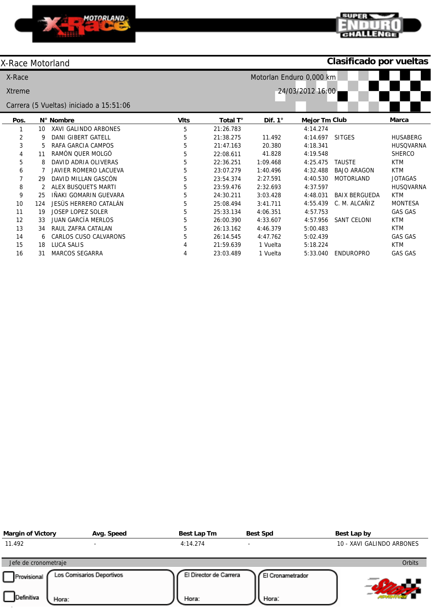



# X-Race Motorland

# **Clasificado por vueltas**

| X-Race        |     | Motorlan Enduro 0,000 km                |             |           |                |                  |                      |                  |  |  |  |  |
|---------------|-----|-----------------------------------------|-------------|-----------|----------------|------------------|----------------------|------------------|--|--|--|--|
| <b>Xtreme</b> |     |                                         |             |           |                | 24/03/2012 16:00 |                      |                  |  |  |  |  |
|               |     | Carrera (5 Vueltas) iniciado a 15:51:06 |             |           |                |                  |                      |                  |  |  |  |  |
| Pos.          |     | N° Nombre                               | <b>VIts</b> | Total T°  | Dif. $1^\circ$ | Mejor Tm Club    |                      | Marca            |  |  |  |  |
|               | 10  | XAVI GALINDO ARBONES                    | 5           | 21:26.783 |                | 4:14.274         |                      |                  |  |  |  |  |
| 2             | 9   | <b>DANI GIBERT GATELL</b>               | 5           | 21:38.275 | 11.492         | 4:14.697         | <b>SITGES</b>        | <b>HUSABERG</b>  |  |  |  |  |
| 3             | 5.  | RAFA GARCIA CAMPOS                      | 5           | 21:47.163 | 20.380         | 4:18.341         |                      | <b>HUSQVARNA</b> |  |  |  |  |
| 4             | 11  | RAMÓN QUER MOLGÓ                        | 5           | 22:08.611 | 41.828         | 4:19.548         |                      | <b>SHERCO</b>    |  |  |  |  |
| 5             | 8   | DAVID ADRIA OLIVERAS                    | 5           | 22:36.251 | 1:09.468       | 4:25.475         | <b>TAUSTE</b>        | <b>KTM</b>       |  |  |  |  |
| 6             |     | JAVIER ROMERO LACUEVA                   | 5           | 23:07.279 | 1:40.496       | 4:32.488         | <b>BAJO ARAGON</b>   | <b>KTM</b>       |  |  |  |  |
|               | 29  | DAVID MILLAN GASCÓN                     | 5           | 23:54.374 | 2:27.591       | 4:40.530         | <b>MOTORLAND</b>     | <b>JOTAGAS</b>   |  |  |  |  |
| 8             | 2   | ALEX BUSQUETS MARTI                     | 5           | 23:59.476 | 2:32.693       | 4:37.597         |                      | <b>HUSQVARNA</b> |  |  |  |  |
| 9             | 25  | IÑAKI GOMARIN GUEVARA                   | 5           | 24:30.211 | 3:03.428       | 4:48.031         | <b>BAIX BERGUEDA</b> | <b>KTM</b>       |  |  |  |  |
| 10            | 124 | JESÚS HERRERO CATALÁN                   | 5           | 25:08.494 | 3:41.711       | 4:55.439         | C. M. ALCAÑIZ        | <b>MONTESA</b>   |  |  |  |  |
| 11            | 19  | <b>JOSEP LOPEZ SOLER</b>                | 5           | 25:33.134 | 4:06.351       | 4:57.753         |                      | <b>GAS GAS</b>   |  |  |  |  |
| 12            | 33  | <b>JUAN GARCÍA MERLOS</b>               | 5           | 26:00.390 | 4:33.607       | 4:57.956         | <b>SANT CELONI</b>   | <b>KTM</b>       |  |  |  |  |
| 13            | 34  | RAUL ZAFRA CATALAN                      | 5           | 26:13.162 | 4:46.379       | 5:00.483         |                      | <b>KTM</b>       |  |  |  |  |
| 14            | 6   | <b>CARLOS CUSO CALVARONS</b>            | 5           | 26:14.545 | 4:47.762       | 5:02.439         |                      | <b>GAS GAS</b>   |  |  |  |  |
| 15            | 18  | LUCA SALIS                              | 4           | 21:59.639 | 1 Vuelta       | 5:18.224         |                      | <b>KTM</b>       |  |  |  |  |
| 16            | 31  | <b>MARCOS SEGARRA</b>                   |             | 23:03.489 | 1 Vuelta       | 5:33.040         | <b>ENDUROPRO</b>     | <b>GAS GAS</b>   |  |  |  |  |

| <b>Margin of Victory</b>           | Avg. Speed                | Best Lap Tm                     | <b>Best Spd</b>           | Best Lap by               |
|------------------------------------|---------------------------|---------------------------------|---------------------------|---------------------------|
| 11.492                             |                           | 4:14.274                        |                           | 10 - XAVI GALINDO ARBONES |
| Jefe de cronometraje               |                           |                                 |                           | <b>Orbits</b>             |
| Provisional<br>Definitiva<br>Hora: | Los Comisarios Deportivos | El Director de Carrera<br>Hora: | El Cronametrador<br>Hora: |                           |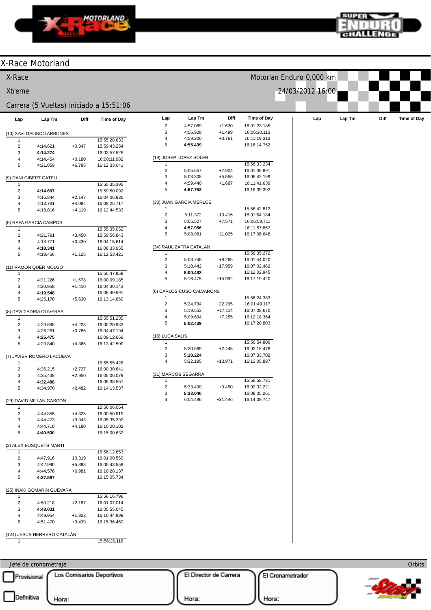



| Motorlan Enduro 0,000 km<br>X-Race<br>24/03/2012 16:00<br><b>Xtreme</b><br>Carrera (5 Vueltas) iniciado a 15:51:06<br>Diff<br>Lap Tm<br><b>Time of Day</b><br>Lap<br>Lap Tm<br>Diff<br>Lap<br>Time of Day<br><b>Time of Day</b><br>Lap Tm<br>Diff<br>Lap<br>$\overline{c}$<br>$+1.630$<br>4:57.069<br>16:01:23.185<br>3<br>4:56.928<br>$+1.489$<br>16:06:20.113<br>(10) XAVI GALINDO ARBONES<br>4<br>4:59.200<br>$+3.761$<br>16:11:19.313<br>15:55:28.633<br>$\,$ 5 $\,$<br>4:55.439<br>16:16:14.752<br>$\overline{c}$<br>4:14.621<br>$+0.347$<br>15:59:43.254<br>3<br>4:14.274<br>16:03:57.528<br>(19) JOSEP LOPEZ SOLER<br>4:14.454<br>$+0.180$<br>16:08:11.982<br>$\overline{4}$<br>15:56:33.234<br>1<br>5<br>4:21.059<br>$+6.785$<br>16:12:33.041<br>$\sqrt{2}$<br>$+7.904$<br>16:01:38.891<br>5:05.657<br>3<br>5:03.308<br>$+5.555$<br>16:06:42.199<br>(9) DANI GIBERT GATELL<br>$\overline{4}$<br>4:59.440<br>$+1.687$<br>16:11:41.639<br>15:55:35.395<br>-1<br>$\sqrt{5}$<br>16:16:39.392<br>4:57.753<br>$\overline{c}$<br>4:14.697<br>15:59:50.092<br>3<br>4:16.844<br>$+2.147$<br>16:04:06.936<br>(33) JUAN GARCÍA MERLOS<br>4:18.781<br>$+4.084$<br>16:08:25.717<br>4<br>15:56:42.812<br>1<br>5<br>4:18.816<br>$+4.119$<br>16:12:44.533<br>$\sqrt{2}$<br>16:01:54.184<br>5:11.372<br>$+13.416$<br>3<br>5:05.527<br>$+7.571$<br>16:06:59.711<br>(5) RAFA GARCIA CAMPOS<br>$\overline{4}$<br>4:57.956<br>16:11:57.667<br>15:55:35.052<br>5<br>5:08.981<br>$+11.025$<br>16:17:06.648<br>$\overline{c}$<br>4:21.791<br>$+3.450$<br>15:59:56.843<br>3<br>4:18.771<br>$+0.430$<br>16:04:15.614<br>(34) RAUL ZAFRA CATALAN<br>4:18.341<br>16:08:33.955<br>4<br>15:56:35.272<br>1<br>5<br>4:19.466<br>$+1.125$<br>16:12:53.421<br>$\overline{c}$<br>$+8.265$<br>16:01:44.020<br>5:08.748<br>$\mathbf 3$<br>5:18.442<br>$+17.959$<br>16:07:02.462<br>(11) RAMÓN QUER MOLGÓ<br>4<br>5:00.483<br>16:12:02.945<br>15:55:47.959<br>1<br>$\,$ 5 $\,$<br>5:16.475<br>+15.992<br>16:17:19.420<br>$\sqrt{2}$<br>4:21.226<br>$+1.678$<br>16:00:09.185<br>3<br>4:20.958<br>$+1.410$<br>16:04:30.143<br>(6) CARLOS CUSO CALVARONS<br>$\overline{4}$<br>4:19.548<br>16:08:49.691<br>15:56:24.383<br>$\mathbf{1}$<br>5<br>4:25.178<br>$+5.630$<br>16:13:14.869<br>$\overline{c}$<br>5:24.734<br>$+22.295$<br>16:01:49.117<br>5:19.553<br>$+17.114$<br>3<br>16:07:08.670<br>(8) DAVID ADRIA OLIVERAS<br>4<br>5:09.694<br>$+7.255$<br>16:12:18.364<br>15:55:51.235<br>1<br>$\,$ 5 $\,$<br>5:02.439<br>16:17:20.803<br>$\overline{c}$<br>4:29.698<br>$+4.223$<br>16:00:20.933<br>3<br>4:26.261<br>$+0.786$<br>16:04:47.194<br>(18) LUCA SALIS<br>4:25.475<br>16:09:12.669<br>4<br>15:56:54.809<br>5<br>-1<br>4:29.840<br>$+4.365$<br>16:13:42.509<br>$\overline{c}$<br>5:20.669<br>16:02:15.478<br>$+2.445$<br>3<br>5:18.224<br>16:07:33.702<br>(7) JAVIER ROMERO LACUEVA<br>$\overline{4}$<br>5:32.195<br>$+13.971$<br>16:13:05.897<br>15:55:55.426<br>1<br>$\overline{2}$<br>$+2.727$<br>16:00:30.641<br>4:35.215<br>(31) MARCOS SEGARRA<br>3<br>4:35.438<br>$+2.950$<br>16:05:06.079<br>$\mathbf{1}$<br>15:56:58.731<br>4:32.488<br>16:09:38.567<br>4<br>$\overline{c}$<br>5:33.490<br>$+0.450$<br>16:02:32.221<br>5<br>4:34.970<br>$+2.482$<br>16:14:13.537<br>3<br>16:08:05.261<br>5:33.040<br>$\overline{4}$<br>6:04.486<br>$+31.446$<br>16:14:09.747<br>(29) DAVID MILLAN GASCÓN<br>15:56:06.064<br>1<br>$\overline{c}$<br>4:44.855<br>$+4.325$<br>16:00:50.919<br>3<br>4:44.473<br>$+3.943$<br>16:05:35.392<br>4:44.710<br>$+4.180$<br>16:10:20.102<br>4<br>5<br>4:40.530<br>16:15:00.632<br>(2) ALEX BUSQUETS MARTI<br>15:56:12.653<br>1<br>$\overline{c}$<br>4:47.916<br>$+10.319$<br>16:01:00.569<br>3<br>4:42.990<br>$+5.393$<br>16:05:43.559<br>4:44.578<br>$+6.981$<br>16:10:28.137<br>4<br>5<br>4:37.597<br>16:15:05.734<br>(25) IÑAKI GOMARIN GUEVARA<br>15:56:16.796<br>1<br>$\overline{c}$<br>4:50.218<br>$+2.187$<br>16:01:07.014<br>3<br>4:48.031<br>16:05:55.045<br>4:49.954<br>$+1.923$<br>16:10:44.999<br>4<br>5<br>4:51.470<br>$+3.439$<br>16:15:36.469<br>(124) JESÚS HERRERO CATALÁN<br>15:56:26.116<br>-1<br>Orbits<br>Jefe de cronometraje | X-Race Motorland |  |  |  |  |  |  |
|---------------------------------------------------------------------------------------------------------------------------------------------------------------------------------------------------------------------------------------------------------------------------------------------------------------------------------------------------------------------------------------------------------------------------------------------------------------------------------------------------------------------------------------------------------------------------------------------------------------------------------------------------------------------------------------------------------------------------------------------------------------------------------------------------------------------------------------------------------------------------------------------------------------------------------------------------------------------------------------------------------------------------------------------------------------------------------------------------------------------------------------------------------------------------------------------------------------------------------------------------------------------------------------------------------------------------------------------------------------------------------------------------------------------------------------------------------------------------------------------------------------------------------------------------------------------------------------------------------------------------------------------------------------------------------------------------------------------------------------------------------------------------------------------------------------------------------------------------------------------------------------------------------------------------------------------------------------------------------------------------------------------------------------------------------------------------------------------------------------------------------------------------------------------------------------------------------------------------------------------------------------------------------------------------------------------------------------------------------------------------------------------------------------------------------------------------------------------------------------------------------------------------------------------------------------------------------------------------------------------------------------------------------------------------------------------------------------------------------------------------------------------------------------------------------------------------------------------------------------------------------------------------------------------------------------------------------------------------------------------------------------------------------------------------------------------------------------------------------------------------------------------------------------------------------------------------------------------------------------------------------------------------------------------------------------------------------------------------------------------------------------------------------------------------------------------------------------------------------------------------------------------------------------------------------------------------------------------------------------------------------------------------------------------------------------------------------------------------------------------------------------------------------------------------------------------------------------------------------------------------------------------------------------------------------------------------------------------------------------------------------------------------------------------------------------------------------------------------------------------------------------------------------|------------------|--|--|--|--|--|--|
|                                                                                                                                                                                                                                                                                                                                                                                                                                                                                                                                                                                                                                                                                                                                                                                                                                                                                                                                                                                                                                                                                                                                                                                                                                                                                                                                                                                                                                                                                                                                                                                                                                                                                                                                                                                                                                                                                                                                                                                                                                                                                                                                                                                                                                                                                                                                                                                                                                                                                                                                                                                                                                                                                                                                                                                                                                                                                                                                                                                                                                                                                                                                                                                                                                                                                                                                                                                                                                                                                                                                                                                                                                                                                                                                                                                                                                                                                                                                                                                                                                                                                                                                                         |                  |  |  |  |  |  |  |
|                                                                                                                                                                                                                                                                                                                                                                                                                                                                                                                                                                                                                                                                                                                                                                                                                                                                                                                                                                                                                                                                                                                                                                                                                                                                                                                                                                                                                                                                                                                                                                                                                                                                                                                                                                                                                                                                                                                                                                                                                                                                                                                                                                                                                                                                                                                                                                                                                                                                                                                                                                                                                                                                                                                                                                                                                                                                                                                                                                                                                                                                                                                                                                                                                                                                                                                                                                                                                                                                                                                                                                                                                                                                                                                                                                                                                                                                                                                                                                                                                                                                                                                                                         |                  |  |  |  |  |  |  |
|                                                                                                                                                                                                                                                                                                                                                                                                                                                                                                                                                                                                                                                                                                                                                                                                                                                                                                                                                                                                                                                                                                                                                                                                                                                                                                                                                                                                                                                                                                                                                                                                                                                                                                                                                                                                                                                                                                                                                                                                                                                                                                                                                                                                                                                                                                                                                                                                                                                                                                                                                                                                                                                                                                                                                                                                                                                                                                                                                                                                                                                                                                                                                                                                                                                                                                                                                                                                                                                                                                                                                                                                                                                                                                                                                                                                                                                                                                                                                                                                                                                                                                                                                         |                  |  |  |  |  |  |  |
|                                                                                                                                                                                                                                                                                                                                                                                                                                                                                                                                                                                                                                                                                                                                                                                                                                                                                                                                                                                                                                                                                                                                                                                                                                                                                                                                                                                                                                                                                                                                                                                                                                                                                                                                                                                                                                                                                                                                                                                                                                                                                                                                                                                                                                                                                                                                                                                                                                                                                                                                                                                                                                                                                                                                                                                                                                                                                                                                                                                                                                                                                                                                                                                                                                                                                                                                                                                                                                                                                                                                                                                                                                                                                                                                                                                                                                                                                                                                                                                                                                                                                                                                                         |                  |  |  |  |  |  |  |
|                                                                                                                                                                                                                                                                                                                                                                                                                                                                                                                                                                                                                                                                                                                                                                                                                                                                                                                                                                                                                                                                                                                                                                                                                                                                                                                                                                                                                                                                                                                                                                                                                                                                                                                                                                                                                                                                                                                                                                                                                                                                                                                                                                                                                                                                                                                                                                                                                                                                                                                                                                                                                                                                                                                                                                                                                                                                                                                                                                                                                                                                                                                                                                                                                                                                                                                                                                                                                                                                                                                                                                                                                                                                                                                                                                                                                                                                                                                                                                                                                                                                                                                                                         |                  |  |  |  |  |  |  |
|                                                                                                                                                                                                                                                                                                                                                                                                                                                                                                                                                                                                                                                                                                                                                                                                                                                                                                                                                                                                                                                                                                                                                                                                                                                                                                                                                                                                                                                                                                                                                                                                                                                                                                                                                                                                                                                                                                                                                                                                                                                                                                                                                                                                                                                                                                                                                                                                                                                                                                                                                                                                                                                                                                                                                                                                                                                                                                                                                                                                                                                                                                                                                                                                                                                                                                                                                                                                                                                                                                                                                                                                                                                                                                                                                                                                                                                                                                                                                                                                                                                                                                                                                         |                  |  |  |  |  |  |  |
|                                                                                                                                                                                                                                                                                                                                                                                                                                                                                                                                                                                                                                                                                                                                                                                                                                                                                                                                                                                                                                                                                                                                                                                                                                                                                                                                                                                                                                                                                                                                                                                                                                                                                                                                                                                                                                                                                                                                                                                                                                                                                                                                                                                                                                                                                                                                                                                                                                                                                                                                                                                                                                                                                                                                                                                                                                                                                                                                                                                                                                                                                                                                                                                                                                                                                                                                                                                                                                                                                                                                                                                                                                                                                                                                                                                                                                                                                                                                                                                                                                                                                                                                                         |                  |  |  |  |  |  |  |
|                                                                                                                                                                                                                                                                                                                                                                                                                                                                                                                                                                                                                                                                                                                                                                                                                                                                                                                                                                                                                                                                                                                                                                                                                                                                                                                                                                                                                                                                                                                                                                                                                                                                                                                                                                                                                                                                                                                                                                                                                                                                                                                                                                                                                                                                                                                                                                                                                                                                                                                                                                                                                                                                                                                                                                                                                                                                                                                                                                                                                                                                                                                                                                                                                                                                                                                                                                                                                                                                                                                                                                                                                                                                                                                                                                                                                                                                                                                                                                                                                                                                                                                                                         |                  |  |  |  |  |  |  |
|                                                                                                                                                                                                                                                                                                                                                                                                                                                                                                                                                                                                                                                                                                                                                                                                                                                                                                                                                                                                                                                                                                                                                                                                                                                                                                                                                                                                                                                                                                                                                                                                                                                                                                                                                                                                                                                                                                                                                                                                                                                                                                                                                                                                                                                                                                                                                                                                                                                                                                                                                                                                                                                                                                                                                                                                                                                                                                                                                                                                                                                                                                                                                                                                                                                                                                                                                                                                                                                                                                                                                                                                                                                                                                                                                                                                                                                                                                                                                                                                                                                                                                                                                         |                  |  |  |  |  |  |  |
|                                                                                                                                                                                                                                                                                                                                                                                                                                                                                                                                                                                                                                                                                                                                                                                                                                                                                                                                                                                                                                                                                                                                                                                                                                                                                                                                                                                                                                                                                                                                                                                                                                                                                                                                                                                                                                                                                                                                                                                                                                                                                                                                                                                                                                                                                                                                                                                                                                                                                                                                                                                                                                                                                                                                                                                                                                                                                                                                                                                                                                                                                                                                                                                                                                                                                                                                                                                                                                                                                                                                                                                                                                                                                                                                                                                                                                                                                                                                                                                                                                                                                                                                                         |                  |  |  |  |  |  |  |
|                                                                                                                                                                                                                                                                                                                                                                                                                                                                                                                                                                                                                                                                                                                                                                                                                                                                                                                                                                                                                                                                                                                                                                                                                                                                                                                                                                                                                                                                                                                                                                                                                                                                                                                                                                                                                                                                                                                                                                                                                                                                                                                                                                                                                                                                                                                                                                                                                                                                                                                                                                                                                                                                                                                                                                                                                                                                                                                                                                                                                                                                                                                                                                                                                                                                                                                                                                                                                                                                                                                                                                                                                                                                                                                                                                                                                                                                                                                                                                                                                                                                                                                                                         |                  |  |  |  |  |  |  |
|                                                                                                                                                                                                                                                                                                                                                                                                                                                                                                                                                                                                                                                                                                                                                                                                                                                                                                                                                                                                                                                                                                                                                                                                                                                                                                                                                                                                                                                                                                                                                                                                                                                                                                                                                                                                                                                                                                                                                                                                                                                                                                                                                                                                                                                                                                                                                                                                                                                                                                                                                                                                                                                                                                                                                                                                                                                                                                                                                                                                                                                                                                                                                                                                                                                                                                                                                                                                                                                                                                                                                                                                                                                                                                                                                                                                                                                                                                                                                                                                                                                                                                                                                         |                  |  |  |  |  |  |  |
|                                                                                                                                                                                                                                                                                                                                                                                                                                                                                                                                                                                                                                                                                                                                                                                                                                                                                                                                                                                                                                                                                                                                                                                                                                                                                                                                                                                                                                                                                                                                                                                                                                                                                                                                                                                                                                                                                                                                                                                                                                                                                                                                                                                                                                                                                                                                                                                                                                                                                                                                                                                                                                                                                                                                                                                                                                                                                                                                                                                                                                                                                                                                                                                                                                                                                                                                                                                                                                                                                                                                                                                                                                                                                                                                                                                                                                                                                                                                                                                                                                                                                                                                                         |                  |  |  |  |  |  |  |
|                                                                                                                                                                                                                                                                                                                                                                                                                                                                                                                                                                                                                                                                                                                                                                                                                                                                                                                                                                                                                                                                                                                                                                                                                                                                                                                                                                                                                                                                                                                                                                                                                                                                                                                                                                                                                                                                                                                                                                                                                                                                                                                                                                                                                                                                                                                                                                                                                                                                                                                                                                                                                                                                                                                                                                                                                                                                                                                                                                                                                                                                                                                                                                                                                                                                                                                                                                                                                                                                                                                                                                                                                                                                                                                                                                                                                                                                                                                                                                                                                                                                                                                                                         |                  |  |  |  |  |  |  |
|                                                                                                                                                                                                                                                                                                                                                                                                                                                                                                                                                                                                                                                                                                                                                                                                                                                                                                                                                                                                                                                                                                                                                                                                                                                                                                                                                                                                                                                                                                                                                                                                                                                                                                                                                                                                                                                                                                                                                                                                                                                                                                                                                                                                                                                                                                                                                                                                                                                                                                                                                                                                                                                                                                                                                                                                                                                                                                                                                                                                                                                                                                                                                                                                                                                                                                                                                                                                                                                                                                                                                                                                                                                                                                                                                                                                                                                                                                                                                                                                                                                                                                                                                         |                  |  |  |  |  |  |  |
|                                                                                                                                                                                                                                                                                                                                                                                                                                                                                                                                                                                                                                                                                                                                                                                                                                                                                                                                                                                                                                                                                                                                                                                                                                                                                                                                                                                                                                                                                                                                                                                                                                                                                                                                                                                                                                                                                                                                                                                                                                                                                                                                                                                                                                                                                                                                                                                                                                                                                                                                                                                                                                                                                                                                                                                                                                                                                                                                                                                                                                                                                                                                                                                                                                                                                                                                                                                                                                                                                                                                                                                                                                                                                                                                                                                                                                                                                                                                                                                                                                                                                                                                                         |                  |  |  |  |  |  |  |
|                                                                                                                                                                                                                                                                                                                                                                                                                                                                                                                                                                                                                                                                                                                                                                                                                                                                                                                                                                                                                                                                                                                                                                                                                                                                                                                                                                                                                                                                                                                                                                                                                                                                                                                                                                                                                                                                                                                                                                                                                                                                                                                                                                                                                                                                                                                                                                                                                                                                                                                                                                                                                                                                                                                                                                                                                                                                                                                                                                                                                                                                                                                                                                                                                                                                                                                                                                                                                                                                                                                                                                                                                                                                                                                                                                                                                                                                                                                                                                                                                                                                                                                                                         |                  |  |  |  |  |  |  |
|                                                                                                                                                                                                                                                                                                                                                                                                                                                                                                                                                                                                                                                                                                                                                                                                                                                                                                                                                                                                                                                                                                                                                                                                                                                                                                                                                                                                                                                                                                                                                                                                                                                                                                                                                                                                                                                                                                                                                                                                                                                                                                                                                                                                                                                                                                                                                                                                                                                                                                                                                                                                                                                                                                                                                                                                                                                                                                                                                                                                                                                                                                                                                                                                                                                                                                                                                                                                                                                                                                                                                                                                                                                                                                                                                                                                                                                                                                                                                                                                                                                                                                                                                         |                  |  |  |  |  |  |  |
|                                                                                                                                                                                                                                                                                                                                                                                                                                                                                                                                                                                                                                                                                                                                                                                                                                                                                                                                                                                                                                                                                                                                                                                                                                                                                                                                                                                                                                                                                                                                                                                                                                                                                                                                                                                                                                                                                                                                                                                                                                                                                                                                                                                                                                                                                                                                                                                                                                                                                                                                                                                                                                                                                                                                                                                                                                                                                                                                                                                                                                                                                                                                                                                                                                                                                                                                                                                                                                                                                                                                                                                                                                                                                                                                                                                                                                                                                                                                                                                                                                                                                                                                                         |                  |  |  |  |  |  |  |
|                                                                                                                                                                                                                                                                                                                                                                                                                                                                                                                                                                                                                                                                                                                                                                                                                                                                                                                                                                                                                                                                                                                                                                                                                                                                                                                                                                                                                                                                                                                                                                                                                                                                                                                                                                                                                                                                                                                                                                                                                                                                                                                                                                                                                                                                                                                                                                                                                                                                                                                                                                                                                                                                                                                                                                                                                                                                                                                                                                                                                                                                                                                                                                                                                                                                                                                                                                                                                                                                                                                                                                                                                                                                                                                                                                                                                                                                                                                                                                                                                                                                                                                                                         |                  |  |  |  |  |  |  |
|                                                                                                                                                                                                                                                                                                                                                                                                                                                                                                                                                                                                                                                                                                                                                                                                                                                                                                                                                                                                                                                                                                                                                                                                                                                                                                                                                                                                                                                                                                                                                                                                                                                                                                                                                                                                                                                                                                                                                                                                                                                                                                                                                                                                                                                                                                                                                                                                                                                                                                                                                                                                                                                                                                                                                                                                                                                                                                                                                                                                                                                                                                                                                                                                                                                                                                                                                                                                                                                                                                                                                                                                                                                                                                                                                                                                                                                                                                                                                                                                                                                                                                                                                         |                  |  |  |  |  |  |  |
|                                                                                                                                                                                                                                                                                                                                                                                                                                                                                                                                                                                                                                                                                                                                                                                                                                                                                                                                                                                                                                                                                                                                                                                                                                                                                                                                                                                                                                                                                                                                                                                                                                                                                                                                                                                                                                                                                                                                                                                                                                                                                                                                                                                                                                                                                                                                                                                                                                                                                                                                                                                                                                                                                                                                                                                                                                                                                                                                                                                                                                                                                                                                                                                                                                                                                                                                                                                                                                                                                                                                                                                                                                                                                                                                                                                                                                                                                                                                                                                                                                                                                                                                                         |                  |  |  |  |  |  |  |
|                                                                                                                                                                                                                                                                                                                                                                                                                                                                                                                                                                                                                                                                                                                                                                                                                                                                                                                                                                                                                                                                                                                                                                                                                                                                                                                                                                                                                                                                                                                                                                                                                                                                                                                                                                                                                                                                                                                                                                                                                                                                                                                                                                                                                                                                                                                                                                                                                                                                                                                                                                                                                                                                                                                                                                                                                                                                                                                                                                                                                                                                                                                                                                                                                                                                                                                                                                                                                                                                                                                                                                                                                                                                                                                                                                                                                                                                                                                                                                                                                                                                                                                                                         |                  |  |  |  |  |  |  |
|                                                                                                                                                                                                                                                                                                                                                                                                                                                                                                                                                                                                                                                                                                                                                                                                                                                                                                                                                                                                                                                                                                                                                                                                                                                                                                                                                                                                                                                                                                                                                                                                                                                                                                                                                                                                                                                                                                                                                                                                                                                                                                                                                                                                                                                                                                                                                                                                                                                                                                                                                                                                                                                                                                                                                                                                                                                                                                                                                                                                                                                                                                                                                                                                                                                                                                                                                                                                                                                                                                                                                                                                                                                                                                                                                                                                                                                                                                                                                                                                                                                                                                                                                         |                  |  |  |  |  |  |  |
|                                                                                                                                                                                                                                                                                                                                                                                                                                                                                                                                                                                                                                                                                                                                                                                                                                                                                                                                                                                                                                                                                                                                                                                                                                                                                                                                                                                                                                                                                                                                                                                                                                                                                                                                                                                                                                                                                                                                                                                                                                                                                                                                                                                                                                                                                                                                                                                                                                                                                                                                                                                                                                                                                                                                                                                                                                                                                                                                                                                                                                                                                                                                                                                                                                                                                                                                                                                                                                                                                                                                                                                                                                                                                                                                                                                                                                                                                                                                                                                                                                                                                                                                                         |                  |  |  |  |  |  |  |
|                                                                                                                                                                                                                                                                                                                                                                                                                                                                                                                                                                                                                                                                                                                                                                                                                                                                                                                                                                                                                                                                                                                                                                                                                                                                                                                                                                                                                                                                                                                                                                                                                                                                                                                                                                                                                                                                                                                                                                                                                                                                                                                                                                                                                                                                                                                                                                                                                                                                                                                                                                                                                                                                                                                                                                                                                                                                                                                                                                                                                                                                                                                                                                                                                                                                                                                                                                                                                                                                                                                                                                                                                                                                                                                                                                                                                                                                                                                                                                                                                                                                                                                                                         |                  |  |  |  |  |  |  |
|                                                                                                                                                                                                                                                                                                                                                                                                                                                                                                                                                                                                                                                                                                                                                                                                                                                                                                                                                                                                                                                                                                                                                                                                                                                                                                                                                                                                                                                                                                                                                                                                                                                                                                                                                                                                                                                                                                                                                                                                                                                                                                                                                                                                                                                                                                                                                                                                                                                                                                                                                                                                                                                                                                                                                                                                                                                                                                                                                                                                                                                                                                                                                                                                                                                                                                                                                                                                                                                                                                                                                                                                                                                                                                                                                                                                                                                                                                                                                                                                                                                                                                                                                         |                  |  |  |  |  |  |  |
|                                                                                                                                                                                                                                                                                                                                                                                                                                                                                                                                                                                                                                                                                                                                                                                                                                                                                                                                                                                                                                                                                                                                                                                                                                                                                                                                                                                                                                                                                                                                                                                                                                                                                                                                                                                                                                                                                                                                                                                                                                                                                                                                                                                                                                                                                                                                                                                                                                                                                                                                                                                                                                                                                                                                                                                                                                                                                                                                                                                                                                                                                                                                                                                                                                                                                                                                                                                                                                                                                                                                                                                                                                                                                                                                                                                                                                                                                                                                                                                                                                                                                                                                                         |                  |  |  |  |  |  |  |
|                                                                                                                                                                                                                                                                                                                                                                                                                                                                                                                                                                                                                                                                                                                                                                                                                                                                                                                                                                                                                                                                                                                                                                                                                                                                                                                                                                                                                                                                                                                                                                                                                                                                                                                                                                                                                                                                                                                                                                                                                                                                                                                                                                                                                                                                                                                                                                                                                                                                                                                                                                                                                                                                                                                                                                                                                                                                                                                                                                                                                                                                                                                                                                                                                                                                                                                                                                                                                                                                                                                                                                                                                                                                                                                                                                                                                                                                                                                                                                                                                                                                                                                                                         |                  |  |  |  |  |  |  |
|                                                                                                                                                                                                                                                                                                                                                                                                                                                                                                                                                                                                                                                                                                                                                                                                                                                                                                                                                                                                                                                                                                                                                                                                                                                                                                                                                                                                                                                                                                                                                                                                                                                                                                                                                                                                                                                                                                                                                                                                                                                                                                                                                                                                                                                                                                                                                                                                                                                                                                                                                                                                                                                                                                                                                                                                                                                                                                                                                                                                                                                                                                                                                                                                                                                                                                                                                                                                                                                                                                                                                                                                                                                                                                                                                                                                                                                                                                                                                                                                                                                                                                                                                         |                  |  |  |  |  |  |  |
|                                                                                                                                                                                                                                                                                                                                                                                                                                                                                                                                                                                                                                                                                                                                                                                                                                                                                                                                                                                                                                                                                                                                                                                                                                                                                                                                                                                                                                                                                                                                                                                                                                                                                                                                                                                                                                                                                                                                                                                                                                                                                                                                                                                                                                                                                                                                                                                                                                                                                                                                                                                                                                                                                                                                                                                                                                                                                                                                                                                                                                                                                                                                                                                                                                                                                                                                                                                                                                                                                                                                                                                                                                                                                                                                                                                                                                                                                                                                                                                                                                                                                                                                                         |                  |  |  |  |  |  |  |
|                                                                                                                                                                                                                                                                                                                                                                                                                                                                                                                                                                                                                                                                                                                                                                                                                                                                                                                                                                                                                                                                                                                                                                                                                                                                                                                                                                                                                                                                                                                                                                                                                                                                                                                                                                                                                                                                                                                                                                                                                                                                                                                                                                                                                                                                                                                                                                                                                                                                                                                                                                                                                                                                                                                                                                                                                                                                                                                                                                                                                                                                                                                                                                                                                                                                                                                                                                                                                                                                                                                                                                                                                                                                                                                                                                                                                                                                                                                                                                                                                                                                                                                                                         |                  |  |  |  |  |  |  |
|                                                                                                                                                                                                                                                                                                                                                                                                                                                                                                                                                                                                                                                                                                                                                                                                                                                                                                                                                                                                                                                                                                                                                                                                                                                                                                                                                                                                                                                                                                                                                                                                                                                                                                                                                                                                                                                                                                                                                                                                                                                                                                                                                                                                                                                                                                                                                                                                                                                                                                                                                                                                                                                                                                                                                                                                                                                                                                                                                                                                                                                                                                                                                                                                                                                                                                                                                                                                                                                                                                                                                                                                                                                                                                                                                                                                                                                                                                                                                                                                                                                                                                                                                         |                  |  |  |  |  |  |  |
|                                                                                                                                                                                                                                                                                                                                                                                                                                                                                                                                                                                                                                                                                                                                                                                                                                                                                                                                                                                                                                                                                                                                                                                                                                                                                                                                                                                                                                                                                                                                                                                                                                                                                                                                                                                                                                                                                                                                                                                                                                                                                                                                                                                                                                                                                                                                                                                                                                                                                                                                                                                                                                                                                                                                                                                                                                                                                                                                                                                                                                                                                                                                                                                                                                                                                                                                                                                                                                                                                                                                                                                                                                                                                                                                                                                                                                                                                                                                                                                                                                                                                                                                                         |                  |  |  |  |  |  |  |
|                                                                                                                                                                                                                                                                                                                                                                                                                                                                                                                                                                                                                                                                                                                                                                                                                                                                                                                                                                                                                                                                                                                                                                                                                                                                                                                                                                                                                                                                                                                                                                                                                                                                                                                                                                                                                                                                                                                                                                                                                                                                                                                                                                                                                                                                                                                                                                                                                                                                                                                                                                                                                                                                                                                                                                                                                                                                                                                                                                                                                                                                                                                                                                                                                                                                                                                                                                                                                                                                                                                                                                                                                                                                                                                                                                                                                                                                                                                                                                                                                                                                                                                                                         |                  |  |  |  |  |  |  |
|                                                                                                                                                                                                                                                                                                                                                                                                                                                                                                                                                                                                                                                                                                                                                                                                                                                                                                                                                                                                                                                                                                                                                                                                                                                                                                                                                                                                                                                                                                                                                                                                                                                                                                                                                                                                                                                                                                                                                                                                                                                                                                                                                                                                                                                                                                                                                                                                                                                                                                                                                                                                                                                                                                                                                                                                                                                                                                                                                                                                                                                                                                                                                                                                                                                                                                                                                                                                                                                                                                                                                                                                                                                                                                                                                                                                                                                                                                                                                                                                                                                                                                                                                         |                  |  |  |  |  |  |  |
|                                                                                                                                                                                                                                                                                                                                                                                                                                                                                                                                                                                                                                                                                                                                                                                                                                                                                                                                                                                                                                                                                                                                                                                                                                                                                                                                                                                                                                                                                                                                                                                                                                                                                                                                                                                                                                                                                                                                                                                                                                                                                                                                                                                                                                                                                                                                                                                                                                                                                                                                                                                                                                                                                                                                                                                                                                                                                                                                                                                                                                                                                                                                                                                                                                                                                                                                                                                                                                                                                                                                                                                                                                                                                                                                                                                                                                                                                                                                                                                                                                                                                                                                                         |                  |  |  |  |  |  |  |
|                                                                                                                                                                                                                                                                                                                                                                                                                                                                                                                                                                                                                                                                                                                                                                                                                                                                                                                                                                                                                                                                                                                                                                                                                                                                                                                                                                                                                                                                                                                                                                                                                                                                                                                                                                                                                                                                                                                                                                                                                                                                                                                                                                                                                                                                                                                                                                                                                                                                                                                                                                                                                                                                                                                                                                                                                                                                                                                                                                                                                                                                                                                                                                                                                                                                                                                                                                                                                                                                                                                                                                                                                                                                                                                                                                                                                                                                                                                                                                                                                                                                                                                                                         |                  |  |  |  |  |  |  |
|                                                                                                                                                                                                                                                                                                                                                                                                                                                                                                                                                                                                                                                                                                                                                                                                                                                                                                                                                                                                                                                                                                                                                                                                                                                                                                                                                                                                                                                                                                                                                                                                                                                                                                                                                                                                                                                                                                                                                                                                                                                                                                                                                                                                                                                                                                                                                                                                                                                                                                                                                                                                                                                                                                                                                                                                                                                                                                                                                                                                                                                                                                                                                                                                                                                                                                                                                                                                                                                                                                                                                                                                                                                                                                                                                                                                                                                                                                                                                                                                                                                                                                                                                         |                  |  |  |  |  |  |  |
|                                                                                                                                                                                                                                                                                                                                                                                                                                                                                                                                                                                                                                                                                                                                                                                                                                                                                                                                                                                                                                                                                                                                                                                                                                                                                                                                                                                                                                                                                                                                                                                                                                                                                                                                                                                                                                                                                                                                                                                                                                                                                                                                                                                                                                                                                                                                                                                                                                                                                                                                                                                                                                                                                                                                                                                                                                                                                                                                                                                                                                                                                                                                                                                                                                                                                                                                                                                                                                                                                                                                                                                                                                                                                                                                                                                                                                                                                                                                                                                                                                                                                                                                                         |                  |  |  |  |  |  |  |
|                                                                                                                                                                                                                                                                                                                                                                                                                                                                                                                                                                                                                                                                                                                                                                                                                                                                                                                                                                                                                                                                                                                                                                                                                                                                                                                                                                                                                                                                                                                                                                                                                                                                                                                                                                                                                                                                                                                                                                                                                                                                                                                                                                                                                                                                                                                                                                                                                                                                                                                                                                                                                                                                                                                                                                                                                                                                                                                                                                                                                                                                                                                                                                                                                                                                                                                                                                                                                                                                                                                                                                                                                                                                                                                                                                                                                                                                                                                                                                                                                                                                                                                                                         |                  |  |  |  |  |  |  |
|                                                                                                                                                                                                                                                                                                                                                                                                                                                                                                                                                                                                                                                                                                                                                                                                                                                                                                                                                                                                                                                                                                                                                                                                                                                                                                                                                                                                                                                                                                                                                                                                                                                                                                                                                                                                                                                                                                                                                                                                                                                                                                                                                                                                                                                                                                                                                                                                                                                                                                                                                                                                                                                                                                                                                                                                                                                                                                                                                                                                                                                                                                                                                                                                                                                                                                                                                                                                                                                                                                                                                                                                                                                                                                                                                                                                                                                                                                                                                                                                                                                                                                                                                         |                  |  |  |  |  |  |  |
|                                                                                                                                                                                                                                                                                                                                                                                                                                                                                                                                                                                                                                                                                                                                                                                                                                                                                                                                                                                                                                                                                                                                                                                                                                                                                                                                                                                                                                                                                                                                                                                                                                                                                                                                                                                                                                                                                                                                                                                                                                                                                                                                                                                                                                                                                                                                                                                                                                                                                                                                                                                                                                                                                                                                                                                                                                                                                                                                                                                                                                                                                                                                                                                                                                                                                                                                                                                                                                                                                                                                                                                                                                                                                                                                                                                                                                                                                                                                                                                                                                                                                                                                                         |                  |  |  |  |  |  |  |
|                                                                                                                                                                                                                                                                                                                                                                                                                                                                                                                                                                                                                                                                                                                                                                                                                                                                                                                                                                                                                                                                                                                                                                                                                                                                                                                                                                                                                                                                                                                                                                                                                                                                                                                                                                                                                                                                                                                                                                                                                                                                                                                                                                                                                                                                                                                                                                                                                                                                                                                                                                                                                                                                                                                                                                                                                                                                                                                                                                                                                                                                                                                                                                                                                                                                                                                                                                                                                                                                                                                                                                                                                                                                                                                                                                                                                                                                                                                                                                                                                                                                                                                                                         |                  |  |  |  |  |  |  |
|                                                                                                                                                                                                                                                                                                                                                                                                                                                                                                                                                                                                                                                                                                                                                                                                                                                                                                                                                                                                                                                                                                                                                                                                                                                                                                                                                                                                                                                                                                                                                                                                                                                                                                                                                                                                                                                                                                                                                                                                                                                                                                                                                                                                                                                                                                                                                                                                                                                                                                                                                                                                                                                                                                                                                                                                                                                                                                                                                                                                                                                                                                                                                                                                                                                                                                                                                                                                                                                                                                                                                                                                                                                                                                                                                                                                                                                                                                                                                                                                                                                                                                                                                         |                  |  |  |  |  |  |  |
|                                                                                                                                                                                                                                                                                                                                                                                                                                                                                                                                                                                                                                                                                                                                                                                                                                                                                                                                                                                                                                                                                                                                                                                                                                                                                                                                                                                                                                                                                                                                                                                                                                                                                                                                                                                                                                                                                                                                                                                                                                                                                                                                                                                                                                                                                                                                                                                                                                                                                                                                                                                                                                                                                                                                                                                                                                                                                                                                                                                                                                                                                                                                                                                                                                                                                                                                                                                                                                                                                                                                                                                                                                                                                                                                                                                                                                                                                                                                                                                                                                                                                                                                                         |                  |  |  |  |  |  |  |
|                                                                                                                                                                                                                                                                                                                                                                                                                                                                                                                                                                                                                                                                                                                                                                                                                                                                                                                                                                                                                                                                                                                                                                                                                                                                                                                                                                                                                                                                                                                                                                                                                                                                                                                                                                                                                                                                                                                                                                                                                                                                                                                                                                                                                                                                                                                                                                                                                                                                                                                                                                                                                                                                                                                                                                                                                                                                                                                                                                                                                                                                                                                                                                                                                                                                                                                                                                                                                                                                                                                                                                                                                                                                                                                                                                                                                                                                                                                                                                                                                                                                                                                                                         |                  |  |  |  |  |  |  |
|                                                                                                                                                                                                                                                                                                                                                                                                                                                                                                                                                                                                                                                                                                                                                                                                                                                                                                                                                                                                                                                                                                                                                                                                                                                                                                                                                                                                                                                                                                                                                                                                                                                                                                                                                                                                                                                                                                                                                                                                                                                                                                                                                                                                                                                                                                                                                                                                                                                                                                                                                                                                                                                                                                                                                                                                                                                                                                                                                                                                                                                                                                                                                                                                                                                                                                                                                                                                                                                                                                                                                                                                                                                                                                                                                                                                                                                                                                                                                                                                                                                                                                                                                         |                  |  |  |  |  |  |  |
|                                                                                                                                                                                                                                                                                                                                                                                                                                                                                                                                                                                                                                                                                                                                                                                                                                                                                                                                                                                                                                                                                                                                                                                                                                                                                                                                                                                                                                                                                                                                                                                                                                                                                                                                                                                                                                                                                                                                                                                                                                                                                                                                                                                                                                                                                                                                                                                                                                                                                                                                                                                                                                                                                                                                                                                                                                                                                                                                                                                                                                                                                                                                                                                                                                                                                                                                                                                                                                                                                                                                                                                                                                                                                                                                                                                                                                                                                                                                                                                                                                                                                                                                                         |                  |  |  |  |  |  |  |
|                                                                                                                                                                                                                                                                                                                                                                                                                                                                                                                                                                                                                                                                                                                                                                                                                                                                                                                                                                                                                                                                                                                                                                                                                                                                                                                                                                                                                                                                                                                                                                                                                                                                                                                                                                                                                                                                                                                                                                                                                                                                                                                                                                                                                                                                                                                                                                                                                                                                                                                                                                                                                                                                                                                                                                                                                                                                                                                                                                                                                                                                                                                                                                                                                                                                                                                                                                                                                                                                                                                                                                                                                                                                                                                                                                                                                                                                                                                                                                                                                                                                                                                                                         |                  |  |  |  |  |  |  |
|                                                                                                                                                                                                                                                                                                                                                                                                                                                                                                                                                                                                                                                                                                                                                                                                                                                                                                                                                                                                                                                                                                                                                                                                                                                                                                                                                                                                                                                                                                                                                                                                                                                                                                                                                                                                                                                                                                                                                                                                                                                                                                                                                                                                                                                                                                                                                                                                                                                                                                                                                                                                                                                                                                                                                                                                                                                                                                                                                                                                                                                                                                                                                                                                                                                                                                                                                                                                                                                                                                                                                                                                                                                                                                                                                                                                                                                                                                                                                                                                                                                                                                                                                         |                  |  |  |  |  |  |  |
|                                                                                                                                                                                                                                                                                                                                                                                                                                                                                                                                                                                                                                                                                                                                                                                                                                                                                                                                                                                                                                                                                                                                                                                                                                                                                                                                                                                                                                                                                                                                                                                                                                                                                                                                                                                                                                                                                                                                                                                                                                                                                                                                                                                                                                                                                                                                                                                                                                                                                                                                                                                                                                                                                                                                                                                                                                                                                                                                                                                                                                                                                                                                                                                                                                                                                                                                                                                                                                                                                                                                                                                                                                                                                                                                                                                                                                                                                                                                                                                                                                                                                                                                                         |                  |  |  |  |  |  |  |
|                                                                                                                                                                                                                                                                                                                                                                                                                                                                                                                                                                                                                                                                                                                                                                                                                                                                                                                                                                                                                                                                                                                                                                                                                                                                                                                                                                                                                                                                                                                                                                                                                                                                                                                                                                                                                                                                                                                                                                                                                                                                                                                                                                                                                                                                                                                                                                                                                                                                                                                                                                                                                                                                                                                                                                                                                                                                                                                                                                                                                                                                                                                                                                                                                                                                                                                                                                                                                                                                                                                                                                                                                                                                                                                                                                                                                                                                                                                                                                                                                                                                                                                                                         |                  |  |  |  |  |  |  |
|                                                                                                                                                                                                                                                                                                                                                                                                                                                                                                                                                                                                                                                                                                                                                                                                                                                                                                                                                                                                                                                                                                                                                                                                                                                                                                                                                                                                                                                                                                                                                                                                                                                                                                                                                                                                                                                                                                                                                                                                                                                                                                                                                                                                                                                                                                                                                                                                                                                                                                                                                                                                                                                                                                                                                                                                                                                                                                                                                                                                                                                                                                                                                                                                                                                                                                                                                                                                                                                                                                                                                                                                                                                                                                                                                                                                                                                                                                                                                                                                                                                                                                                                                         |                  |  |  |  |  |  |  |
|                                                                                                                                                                                                                                                                                                                                                                                                                                                                                                                                                                                                                                                                                                                                                                                                                                                                                                                                                                                                                                                                                                                                                                                                                                                                                                                                                                                                                                                                                                                                                                                                                                                                                                                                                                                                                                                                                                                                                                                                                                                                                                                                                                                                                                                                                                                                                                                                                                                                                                                                                                                                                                                                                                                                                                                                                                                                                                                                                                                                                                                                                                                                                                                                                                                                                                                                                                                                                                                                                                                                                                                                                                                                                                                                                                                                                                                                                                                                                                                                                                                                                                                                                         |                  |  |  |  |  |  |  |
|                                                                                                                                                                                                                                                                                                                                                                                                                                                                                                                                                                                                                                                                                                                                                                                                                                                                                                                                                                                                                                                                                                                                                                                                                                                                                                                                                                                                                                                                                                                                                                                                                                                                                                                                                                                                                                                                                                                                                                                                                                                                                                                                                                                                                                                                                                                                                                                                                                                                                                                                                                                                                                                                                                                                                                                                                                                                                                                                                                                                                                                                                                                                                                                                                                                                                                                                                                                                                                                                                                                                                                                                                                                                                                                                                                                                                                                                                                                                                                                                                                                                                                                                                         |                  |  |  |  |  |  |  |
|                                                                                                                                                                                                                                                                                                                                                                                                                                                                                                                                                                                                                                                                                                                                                                                                                                                                                                                                                                                                                                                                                                                                                                                                                                                                                                                                                                                                                                                                                                                                                                                                                                                                                                                                                                                                                                                                                                                                                                                                                                                                                                                                                                                                                                                                                                                                                                                                                                                                                                                                                                                                                                                                                                                                                                                                                                                                                                                                                                                                                                                                                                                                                                                                                                                                                                                                                                                                                                                                                                                                                                                                                                                                                                                                                                                                                                                                                                                                                                                                                                                                                                                                                         |                  |  |  |  |  |  |  |
|                                                                                                                                                                                                                                                                                                                                                                                                                                                                                                                                                                                                                                                                                                                                                                                                                                                                                                                                                                                                                                                                                                                                                                                                                                                                                                                                                                                                                                                                                                                                                                                                                                                                                                                                                                                                                                                                                                                                                                                                                                                                                                                                                                                                                                                                                                                                                                                                                                                                                                                                                                                                                                                                                                                                                                                                                                                                                                                                                                                                                                                                                                                                                                                                                                                                                                                                                                                                                                                                                                                                                                                                                                                                                                                                                                                                                                                                                                                                                                                                                                                                                                                                                         |                  |  |  |  |  |  |  |

| Provisional | Los Comisarios Deportivos |
|-------------|---------------------------|
| Definitiva  | Hora:                     |
|             |                           |

El Director de Carrera

Hora:

El Cronametrador

Hora:

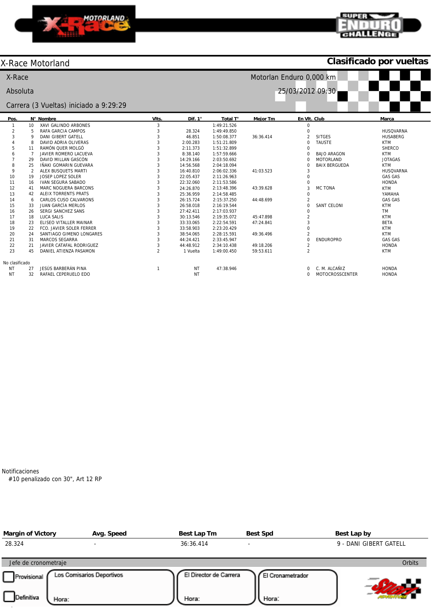



## X-Race Motorland

## **Clasificado por vueltas**



Notificaciones

#10 penalizado con 30", Art 12 RP

| <b>Margin of Victory</b>           | Avg. Speed                | Best Lap Tm                     | <b>Best Spd</b>           | Best Lap by            |
|------------------------------------|---------------------------|---------------------------------|---------------------------|------------------------|
| 28.324                             | $\overline{\phantom{0}}$  | 36:36.414                       |                           | 9 - DANI GIBERT GATELL |
| Jefe de cronometraje               |                           |                                 |                           | <b>Orbits</b>          |
| Provisional<br>Definitiva<br>Hora: | Los Comisarios Deportivos | El Director de Carrera<br>Hora: | El Cronametrador<br>Hora: |                        |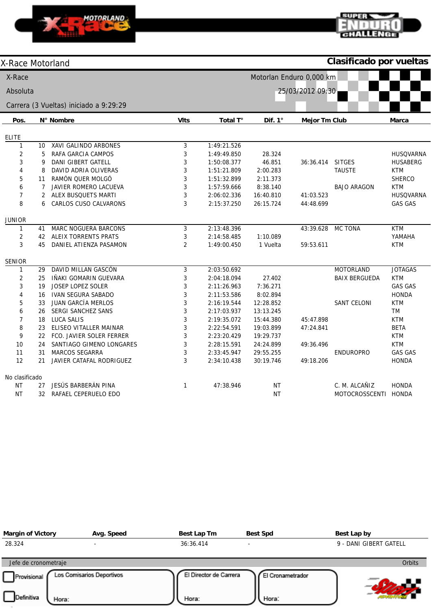

## **SUPER** लोठा पर

**Clasificado por vueltas**

| X-Race Motorland |                |                                        |                |             |                          |                      | Clasificado por vueltas |                  |
|------------------|----------------|----------------------------------------|----------------|-------------|--------------------------|----------------------|-------------------------|------------------|
| X-Race           |                |                                        |                |             | Motorlan Enduro 0,000 km |                      |                         |                  |
| Absoluta         |                |                                        |                |             |                          | 25/03/2012 09:30     |                         |                  |
|                  |                | Carrera (3 Vueltas) iniciado a 9:29:29 |                |             |                          |                      |                         |                  |
|                  |                |                                        |                |             | Dif. $1^\circ$           |                      |                         |                  |
| Pos.             |                | N° Nombre                              | <b>VIts</b>    | Total T°    |                          | <b>Mejor Tm Club</b> |                         | <b>Marca</b>     |
| <b>ELITE</b>     |                |                                        |                |             |                          |                      |                         |                  |
| $\mathbf{1}$     | 10             | <b>XAVI GALINDO ARBONES</b>            | 3              | 1:49:21.526 |                          |                      |                         |                  |
| 2                | 5              | RAFA GARCIA CAMPOS                     | 3              | 1:49:49.850 | 28.324                   |                      |                         | <b>HUSQVARNA</b> |
| 3                | 9              | <b>DANI GIBERT GATELL</b>              | 3              | 1:50:08.377 | 46.851                   | 36:36.414            | <b>SITGES</b>           | <b>HUSABERG</b>  |
| 4                | 8              | DAVID ADRIA OLIVERAS                   | 3              | 1:51:21.809 | 2:00.283                 |                      | <b>TAUSTE</b>           | <b>KTM</b>       |
| 5                | 11             | RAMÓN QUER MOLGÓ                       | 3              | 1:51:32.899 | 2:11.373                 |                      |                         | <b>SHERCO</b>    |
| 6                | 7              | JAVIER ROMERO LACUEVA                  | 3              | 1:57:59.666 | 8:38.140                 |                      | <b>BAJO ARAGON</b>      | <b>KTM</b>       |
| $\overline{7}$   | $\overline{2}$ | ALEX BUSQUETS MARTI                    | 3              | 2:06:02.336 | 16:40.810                | 41:03.523            |                         | <b>HUSQVARNA</b> |
| 8                | 6              | CARLOS CUSO CALVARONS                  | 3              | 2:15:37.250 | 26:15.724                | 44:48.699            |                         | <b>GAS GAS</b>   |
| <b>JUNIOR</b>    |                |                                        |                |             |                          |                      |                         |                  |
| $\mathbf{1}$     | 41             | <b>MARC NOGUERA BARCONS</b>            | 3              | 2:13:48.396 |                          | 43:39.628            | <b>MC TONA</b>          | <b>KTM</b>       |
| $\overline{2}$   | 42             | <b>ALEIX TORRENTS PRATS</b>            | 3              | 2:14:58.485 | 1:10.089                 |                      |                         | YAMAHA           |
| 3                | 45             | DANIEL ATIENZA PASAMON                 | $\overline{2}$ | 1:49:00.450 | 1 Vuelta                 | 59:53.611            |                         | <b>KTM</b>       |
| <b>SENIOR</b>    |                |                                        |                |             |                          |                      |                         |                  |
| $\mathbf{1}$     | 29             | DAVID MILLAN GASCÓN                    | 3              | 2:03:50.692 |                          |                      | <b>MOTORLAND</b>        | <b>JOTAGAS</b>   |
| $\overline{2}$   | 25             | IÑAKI GOMARIN GUEVARA                  | 3              | 2:04:18.094 | 27.402                   |                      | <b>BAIX BERGUEDA</b>    | <b>KTM</b>       |
| 3                | 19             | JOSEP LOPEZ SOLER                      | 3              | 2:11:26.963 | 7:36.271                 |                      |                         | <b>GAS GAS</b>   |
| 4                | 16             | <b>IVAN SEGURA SABADO</b>              | 3              | 2:11:53.586 | 8:02.894                 |                      |                         | <b>HONDA</b>     |
| 5                | 33             | JUAN GARCÍA MERLOS                     | 3              | 2:16:19.544 | 12:28.852                |                      | SANT CELONI             | <b>KTM</b>       |
| 6                | 26             | SERGI SANCHEZ SANS                     | 3              | 2:17:03.937 | 13:13.245                |                      |                         | TM               |
| $\boldsymbol{7}$ | 18             | LUCA SALIS                             | 3              | 2:19:35.072 | 15:44.380                | 45:47.898            |                         | <b>KTM</b>       |
| 8                | 23             | ELISEO VITALLER MAINAR                 | 3              | 2:22:54.591 | 19:03.899                | 47:24.841            |                         | <b>BETA</b>      |
| 9                | 22             | FCO. JAVIER SOLER FERRER               | 3              | 2:23:20.429 | 19:29.737                |                      |                         | <b>KTM</b>       |
| 10               | 24             | SANTIAGO GIMENO LONGARES               | 3              | 2:28:15.591 | 24:24.899                | 49:36.496            |                         | <b>KTM</b>       |
| 11               | 31             | <b>MARCOS SEGARRA</b>                  | 3              | 2:33:45.947 | 29:55.255                |                      | <b>ENDUROPRO</b>        | <b>GAS GAS</b>   |
| 12               | 21             | JAVIER CATAFAL RODRIGUEZ               | 3              | 2:34:10.438 | 30:19.746                | 49:18.206            |                         | <b>HONDA</b>     |
| No clasificado   |                |                                        |                |             |                          |                      |                         |                  |
| ΝT               | 27             | JESÚS BARBERÁN PINA                    | $\mathbf{1}$   | 47:38.946   | <b>NT</b>                |                      | C. M. ALCAÑIZ           | <b>HONDA</b>     |
| <b>NT</b>        | 32             | RAFAEL CEPERUELO EDO                   |                |             | <b>NT</b>                |                      | MOTOCROSSCENTI          | <b>HONDA</b>     |

| <b>Margin of Victory</b>                                   | Avg. Speed                | Best Lap Tm                     | <b>Best Spd</b>           | Best Lap by            |
|------------------------------------------------------------|---------------------------|---------------------------------|---------------------------|------------------------|
| 28.324                                                     | $\overline{\phantom{a}}$  | 36:36.414                       | $\overline{\phantom{0}}$  | 9 - DANI GIBERT GATELL |
| Jefe de cronometraje<br>Provisional<br>Definitiva<br>Hora: | Los Comisarios Deportivos | El Director de Carrera<br>Hora: | El Cronametrador<br>Hora: | <b>Orbits</b>          |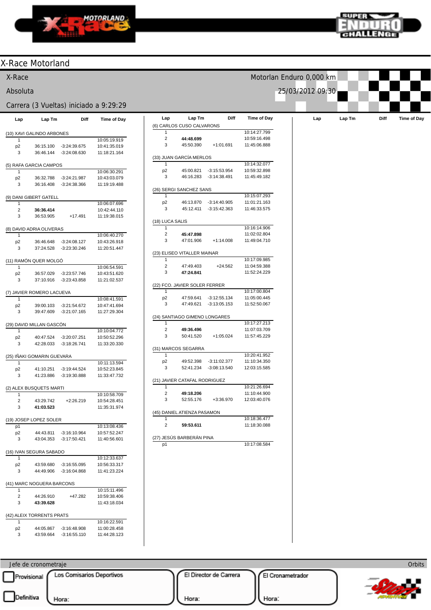



**Orbits** 

Licenciado a: SPORT ADVENTURE

|                          | X-Race Motorland           |                                  |                                              |                              |                                     |                                  |                              |                          |        |      |                    |
|--------------------------|----------------------------|----------------------------------|----------------------------------------------|------------------------------|-------------------------------------|----------------------------------|------------------------------|--------------------------|--------|------|--------------------|
| X-Race                   |                            |                                  |                                              |                              |                                     |                                  |                              | Motorlan Enduro 0,000 km |        |      |                    |
| Absoluta                 |                            |                                  |                                              |                              |                                     |                                  |                              | 25/03/2012 09:30         |        |      |                    |
|                          |                            |                                  | Carrera (3 Vueltas) iniciado a 9:29:29       |                              |                                     |                                  |                              |                          |        |      |                    |
| Lap                      | Lap Tm                     | Diff                             | Time of Day                                  | Lap                          | Lap Tm<br>(6) CARLOS CUSO CALVARONS | Diff                             | <b>Time of Day</b>           | Lap                      | Lap Tm | Diff | <b>Time of Day</b> |
|                          | (10) XAVI GALINDO ARBONES  |                                  |                                              | 1                            |                                     |                                  | 10:14:27.799                 |                          |        |      |                    |
| 1<br>p <sub>2</sub><br>3 | 36:15.100<br>36:46.144     | $-3:24:39.675$<br>$-3:24:08.630$ | 10:05:19.919<br>10:41:35.019<br>11:18:21.164 | $\sqrt{2}$<br>3              | 44:48.699<br>45:50.390              | $+1:01.691$                      | 10:59:16.498<br>11:45:06.888 |                          |        |      |                    |
|                          | (5) RAFA GARCIA CAMPOS     |                                  |                                              | -1                           | (33) JUAN GARCÍA MERLOS             |                                  | 10:14:32.077                 |                          |        |      |                    |
| 1                        |                            |                                  | 10:06:30.291                                 | p <sub>2</sub>               | 45:00.821                           | $-3:15:53.954$                   | 10:59:32.898                 |                          |        |      |                    |
| p <sub>2</sub><br>3      | 36:32.788                  | $-3:24:21.987$                   | 10:43:03.079                                 | 3                            | 46:16.283                           | $-3:14:38.491$                   | 11:45:49.182                 |                          |        |      |                    |
|                          | 36:16.408                  | $-3:24:38.366$                   | 11:19:19.488                                 |                              | (26) SERGI SANCHEZ SANS             |                                  |                              |                          |        |      |                    |
|                          | (9) DANI GIBERT GATELL     |                                  |                                              | -1                           |                                     |                                  | 10:15:07.293                 |                          |        |      |                    |
| 1<br>$\sqrt{2}$          | 36:36.414                  |                                  | 10:06:07.696<br>10:42:44.110                 | p <sub>2</sub><br>3          | 46:13.870<br>45:12.411              | $-3:14:40.905$<br>$-3:15:42.363$ | 11:01:21.163<br>11:46:33.575 |                          |        |      |                    |
| 3                        | 36:53.905                  | $+17.491$                        | 11:19:38.015                                 |                              |                                     |                                  |                              |                          |        |      |                    |
|                          |                            |                                  |                                              |                              | (18) LUCA SALIS                     |                                  |                              |                          |        |      |                    |
|                          | (8) DAVID ADRIA OLIVERAS   |                                  |                                              | 1<br>$\sqrt{2}$              | 45:47.898                           |                                  | 10:16:14.906<br>11:02:02.804 |                          |        |      |                    |
| 1<br>p <sub>2</sub>      | 36:46.648                  | $-3:24:08.127$                   | 10:06:40.270<br>10:43:26.918                 | 3                            | 47:01.906                           | $+1:14.008$                      | 11:49:04.710                 |                          |        |      |                    |
| 3                        | 37:24.528                  | -3:23:30.246                     | 11:20:51.447                                 |                              |                                     |                                  |                              |                          |        |      |                    |
|                          |                            |                                  |                                              |                              | (23) ELISEO VITALLER MAINAR         |                                  | 10:17:09.985                 |                          |        |      |                    |
| 1                        | (11) RAMÓN QUER MOLGÓ      |                                  | 10:06:54.591                                 | 1<br>$\overline{2}$          | 47:49.403                           | $+24.562$                        | 11:04:59.388                 |                          |        |      |                    |
| p <sub>2</sub>           | 36:57.029                  | $-3:23:57.746$                   | 10:43:51.620                                 | 3                            | 47:24.841                           |                                  | 11:52:24.229                 |                          |        |      |                    |
| 3                        | 37:10.916                  | $-3:23:43.858$                   | 11:21:02.537                                 |                              |                                     |                                  |                              |                          |        |      |                    |
|                          |                            |                                  |                                              |                              | (22) FCO. JAVIER SOLER FERRER       |                                  |                              |                          |        |      |                    |
|                          | (7) JAVIER ROMERO LACUEVA  |                                  |                                              | 1<br>p <sub>2</sub>          | 47:59.641                           | $-3:12:55.134$                   | 10:17:00.804<br>11:05:00.445 |                          |        |      |                    |
| 1<br>p <sub>2</sub>      | 39:00.103                  | $-3.21:54.672$                   | 10:08:41.591<br>10:47:41.694                 | 3                            | 47:49.621                           | $-3:13:05.153$                   | 11:52:50.067                 |                          |        |      |                    |
| 3                        | 39:47.609                  | $-3:21:07.165$                   | 11:27:29.304                                 |                              |                                     |                                  |                              |                          |        |      |                    |
|                          |                            |                                  |                                              |                              | (24) SANTIAGO GIMENO LONGARES       |                                  |                              |                          |        |      |                    |
|                          | (29) DAVID MILLAN GASCÓN   |                                  |                                              | -1                           |                                     |                                  | 10:17:27.213                 |                          |        |      |                    |
| 1<br>p <sub>2</sub>      | 40:47.524                  | $-3:20:07.251$                   | 10:10:04.772<br>10:50:52.296                 | $\overline{\mathbf{c}}$<br>3 | 49:36.496<br>50:41.520              | $+1:05.024$                      | 11:07:03.709<br>11:57:45.229 |                          |        |      |                    |
| 3                        | 42:28.033                  | -3:18:26.741                     | 11:33:20.330                                 |                              |                                     |                                  |                              |                          |        |      |                    |
|                          |                            |                                  |                                              |                              | (31) MARCOS SEGARRA                 |                                  |                              |                          |        |      |                    |
|                          | (25) IÑAKI GOMARIN GUEVARA |                                  |                                              | -1                           |                                     |                                  | 10:20:41.952                 |                          |        |      |                    |
| $\mathbf{1}$             |                            |                                  | 10:11:13.594                                 | p <sub>2</sub><br>3          | 49:52.398<br>52:41.234              | $-3:11:02.377$<br>-3:08:13.540   | 11:10:34.350<br>12:03:15.585 |                          |        |      |                    |
| p <sub>2</sub><br>3      | 41:10.251<br>41:23.886     | $-3:19:44.524$<br>$-3:19:30.888$ | 10:52:23.845<br>11:33:47.732                 |                              |                                     |                                  |                              |                          |        |      |                    |
|                          |                            |                                  |                                              |                              | (21) JAVIER CATAFAL RODRIGUEZ       |                                  |                              |                          |        |      |                    |
|                          | (2) ALEX BUSQUETS MARTI    |                                  |                                              | -1                           |                                     |                                  | 10:21:26.694                 |                          |        |      |                    |
|                          |                            |                                  | 10:10:58.709                                 | $\overline{2}$<br>3          | 49:18.206<br>52:55.176              | +3:36.970                        | 11:10:44.900<br>12:03:40.076 |                          |        |      |                    |
| $\overline{c}$<br>3      | 43:29.742<br>41:03.523     | $+2:26.219$                      | 10:54:28.451<br>11:35:31.974                 |                              |                                     |                                  |                              |                          |        |      |                    |
|                          |                            |                                  |                                              |                              | (45) DANIEL ATIENZA PASAMON         |                                  |                              |                          |        |      |                    |
|                          | (19) JOSEP LOPEZ SOLER     |                                  |                                              | $\mathbf{1}$                 |                                     |                                  | 10:18:36.477                 |                          |        |      |                    |
| p1                       |                            |                                  | 10:13:08.436                                 | $\overline{2}$               | 59:53.611                           |                                  | 11:18:30.088                 |                          |        |      |                    |
| p <sub>2</sub><br>3      |                            | 44:43.811 -3:16:10.964           | 10:57:52.247                                 |                              | (27) JESÚS BARBERÁN PINA            |                                  |                              |                          |        |      |                    |
|                          |                            | 43:04.353 -3:17:50.421           | 11:40:56.601                                 | p1                           |                                     |                                  | 10:17:08.584                 |                          |        |      |                    |
|                          | (16) IVAN SEGURA SABADO    |                                  |                                              |                              |                                     |                                  |                              |                          |        |      |                    |
| 1                        |                            |                                  | 10:12:33.637                                 |                              |                                     |                                  |                              |                          |        |      |                    |
| p <sub>2</sub><br>3      | 43:59.680<br>44:49.906     | $-3:16:55.095$<br>$-3.16.04.868$ | 10:56:33.317                                 |                              |                                     |                                  |                              |                          |        |      |                    |
|                          |                            |                                  | 11:41:23.224                                 |                              |                                     |                                  |                              |                          |        |      |                    |
|                          | (41) MARC NOGUERA BARCONS  |                                  |                                              |                              |                                     |                                  |                              |                          |        |      |                    |
| 1                        |                            |                                  | 10:15:11.496                                 |                              |                                     |                                  |                              |                          |        |      |                    |
| $\overline{c}$           | 44:26.910                  | +47.282                          | 10:59:38.406                                 |                              |                                     |                                  |                              |                          |        |      |                    |
| 3                        | 43:39.628                  |                                  | 11:43:18.034                                 |                              |                                     |                                  |                              |                          |        |      |                    |
|                          | (42) ALEIX TORRENTS PRATS  |                                  |                                              |                              |                                     |                                  |                              |                          |        |      |                    |
| 1                        |                            |                                  | 10:16:22.591                                 |                              |                                     |                                  |                              |                          |        |      |                    |
| p <sub>2</sub>           | 44:05.867                  | $-3.16:48.908$                   | 11:00:28.458                                 |                              |                                     |                                  |                              |                          |        |      |                    |
| 3                        | 43:59.664                  | $-3:16:55.110$                   | 11:44:28.123                                 |                              |                                     |                                  |                              |                          |        |      |                    |
|                          |                            |                                  |                                              |                              |                                     |                                  |                              |                          |        |      |                    |

Jefe de cronometraje Provisional Los Comisarios Deportivos El Director de Carrera El Cronametrador w  $\Box$ Definitiva  $\bigcup_{\text{Hora}:}$ Hora: Hora: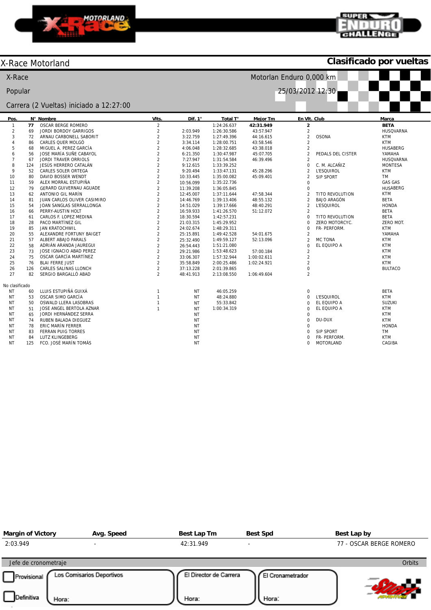



## X-Race Motorland

**Clasificado por vueltas**

| X-Race<br>Motorlan Enduro 0,000 km |     |                                         |                  |           |             |                 |                         |                    |                  |
|------------------------------------|-----|-----------------------------------------|------------------|-----------|-------------|-----------------|-------------------------|--------------------|------------------|
| Popular                            |     |                                         |                  |           |             |                 | 25/03/2012 12:30        |                    |                  |
|                                    |     | Carrera (2 Vueltas) iniciado a 12:27:00 |                  |           |             |                 |                         |                    |                  |
| Pos.                               |     | N° Nombre                               | VIts.            | Dif. 1°   | Total T°    | <b>Mejor Tm</b> | En VIt. Club            |                    | Marca            |
| $\mathbf{1}$                       | 77  | <b>OSCAR BERGE ROMERO</b>               | $\overline{2}$   |           | 1:24:26.637 | 42:31.949       | $\overline{\mathbf{2}}$ |                    | <b>BETA</b>      |
| $\sqrt{2}$                         | 69  | JORDI BORDOY GARRIGOS                   | $\overline{c}$   | 2:03.949  | 1:26:30.586 | 43:57.947       | $\overline{c}$          |                    | <b>HUSQVARNA</b> |
| 3                                  | 72  | ARNAU CARBONELL SABORIT                 | $\overline{c}$   | 3:22.759  | 1:27:49.396 | 44:16.615       | $\overline{a}$          | <b>OSONA</b>       | <b>KTM</b>       |
| $\overline{4}$                     | 86  | CARLES QUER MOLGÓ                       | $\overline{c}$   | 3:34.114  | 1:28:00.751 | 43:58.546       | $\overline{2}$          |                    | <b>KTM</b>       |
| 5                                  | 68  | MIGUEL A. PEREZ GARCÍA                  | $\overline{2}$   | 4:06.048  | 1:28:32.685 | 43:38.018       | $\overline{c}$          |                    | <b>HUSABERG</b>  |
| 6                                  | 56  | JOSE MARÍA SUÑE CABAYOL                 | $\overline{2}$   | 6:21.350  | 1:30:47.987 | 45:07.705       | $\overline{2}$          | PEDALS DEL CISTER  | YAMAHA           |
| $\overline{7}$                     | 67  | <b>JORDI TRAVER ORRIOLS</b>             | $\overline{c}$   | 7:27.947  | 1:31:54.584 | 46:39.496       | $\overline{2}$          |                    | <b>HUSQVARNA</b> |
| 8                                  | 124 | JESÚS HERRERO CATALÁN                   | $\overline{c}$   | 9:12.615  | 1:33:39.252 |                 | $\overline{0}$          | C. M. ALCAÑIZ      | <b>MONTESA</b>   |
| 9                                  | 52  | CARLES SOLER ORTEGA                     | $\overline{2}$   | 9:20.494  | 1:33:47.131 | 45:28.296       | $\overline{2}$          | <b>L'ESQUIROL</b>  | <b>KTM</b>       |
| 10                                 | 80  | DAVID BOSSER WENDT                      | $\overline{2}$   | 10:33.445 | 1:35:00.082 | 45:09.401       | $\overline{2}$          | <b>SIP SPORT</b>   | <b>TM</b>        |
| 11                                 | 59  | ALEX MORRAL ESTUPIÑA                    | $\overline{2}$   | 10:56.099 | 1:35:22.736 |                 | $\mathbf 0$             |                    | <b>GAS GAS</b>   |
| 12                                 | 79  | GERARD GUIVERNAU AGUADE                 | $\overline{2}$   | 11:39.208 | 1:36:05.845 |                 | $\mathbf 0$             |                    | <b>HUSABERG</b>  |
| 13                                 | 62  | ANTONIO GIL MARÍN                       | $\boldsymbol{2}$ | 12:45.007 | 1:37:11.644 | 47:58.344       | $\overline{2}$          | TITO REVOLUTION    | <b>KTM</b>       |
| 14                                 | 81  | JUAN CARLOS OLIVER CASIMIRO             | $\overline{c}$   | 14:46.769 | 1:39:13.406 | 48:55.132       | $\overline{c}$          | <b>BAJO ARAGÓN</b> | <b>BETA</b>      |
| 15                                 | 54  | JOAN SANGLAS SERRALLONGA                | $\overline{c}$   | 14:51.029 | 1:39:17.666 | 48:40.291       | $\overline{2}$          | <b>L'ESQUIROL</b>  | <b>HONDA</b>     |
| 16                                 | 66  | PERRY-AUSTIN HOLT                       | $\overline{2}$   | 16:59.933 | 1:41:26.570 | 51:12.072       | $\overline{c}$          |                    | <b>BETA</b>      |
| 17                                 | 61  | CARLOS F. LOPEZ MEDINA                  | $\overline{2}$   | 18:30.594 | 1:42:57.231 |                 | $\Omega$                | TITO REVOLUTION    | <b>BETA</b>      |
| 18                                 | 28  | PACO MARTÍNEZ GIL                       | $\overline{2}$   | 21:03.315 | 1:45:29.952 |                 | $\Omega$                | ZERO MOTORCYC.     | ZERO MOT.        |
| 19                                 | 85  | <b>JAN KRATOCHWIL</b>                   | $\overline{2}$   | 24:02.674 | 1:48:29.311 |                 | 0                       | FR- PERFORM.       | <b>KTM</b>       |
| 20                                 | 55  | ALEXANDRE FORTUNY BAIGET                | $\overline{c}$   | 25:15.891 | 1:49:42.528 | 54:01.675       | $\overline{c}$          |                    | YAMAHA           |
| 21                                 | 57  | ALBERT ABAJO PARALS                     | $\overline{2}$   | 25:32.490 | 1:49:59.127 | 52:13.096       | $\overline{c}$          | <b>MC TONA</b>     | <b>KTM</b>       |
| 22                                 | 58  | ADRIÁN ARANDA JAUREGUI                  | $\overline{2}$   | 26:54.443 | 1:51:21.080 |                 | $\Omega$                | EL EQUIPO A        | <b>KTM</b>       |
| 23                                 | 73  | JOSE IGNACIO ABAD PEREZ                 | $\overline{c}$   | 29:21.986 | 1:53:48.623 | 57:00.184       | $\overline{2}$          |                    | <b>KTM</b>       |
| 24                                 | 75  | OSCAR GARCÍA MARTÍNEZ                   | $\overline{2}$   | 33:06.307 | 1:57:32.944 | 1:00:02.611     | $\overline{2}$          |                    | <b>KTM</b>       |
| 25                                 | 76  | <b>BLAI FERRE JUST</b>                  | $\overline{c}$   | 35:58.849 | 2:00:25.486 | 1:02:24.921     | $\overline{2}$          |                    | <b>KTM</b>       |
| 26                                 | 126 | CARLES SALINAS LLONCH                   | $\overline{2}$   | 37:13.228 | 2:01:39.865 |                 | $\overline{0}$          |                    | <b>BULTACO</b>   |
| 27                                 | 82  | SERGIO BARGALLÓ ABAD                    | $\overline{2}$   | 48:41.913 | 2:13:08.550 | 1:06:49.604     | $\overline{2}$          |                    |                  |
| No clasificado                     |     |                                         |                  |           |             |                 |                         |                    |                  |
| ΝT                                 | 60  | LLUIS ESTUPIÑÁ GUIXÁ                    | $\mathbf{1}$     | NT        | 46:05.259   |                 | $\mathbf 0$             |                    | <b>BETA</b>      |
| NT                                 | 53  | OSCAR SIMO GARCÍA                       | $\mathbf{1}$     | <b>NT</b> | 48:24.880   |                 | $\Omega$                | <b>L'ESQUIROL</b>  | <b>KTM</b>       |
| NT                                 | 50  | OSWALD LLERA LASOBRAS                   | $\mathbf{1}$     | <b>NT</b> | 55:33.842   |                 | $\Omega$                | EL EQUIPO A        | <b>SUZUKI</b>    |
| NT                                 | 51  | JOSE ANGEL BERTOLA AZNAR                | $\mathbf{1}$     | ΝT        | 1:00:34.319 |                 | $\Omega$                | EL EQUIPO A        | <b>KTM</b>       |
| NT                                 | 65  | JORDI HERNÁNDEZ SERRA                   |                  | <b>NT</b> |             |                 | $\mathbf 0$             |                    | <b>KTM</b>       |
| NT                                 | 74  | RUBEN BALADA DIEGUEZ                    |                  | <b>NT</b> |             |                 | $\Omega$                | DU-DUX             | <b>KTM</b>       |
| NT                                 | 78  | ERIC MARÍN FERRER                       |                  | ΝT        |             |                 | $\Omega$                |                    | <b>HONDA</b>     |
| ΝT                                 | 83  | <b>FERRAN PUIG TORRES</b>               |                  | ΝT        |             |                 | 0                       | <b>SIP SPORT</b>   | TM               |
| NT                                 | 84  | LUTZ KLINGEBERG                         |                  | ΝT        |             |                 | $\Omega$                | FR- PERFORM.       | <b>KTM</b>       |
| NT                                 | 125 | FCO. JOSÉ MARÍN TOMÁS                   |                  | <b>NT</b> |             |                 | $\Omega$                | <b>MOTORLAND</b>   | CAGIBA           |

| <b>Margin of Victory</b>         | Avg. Speed                         | Best Lap Tm                     | <b>Best Spd</b>           | Best Lap by             |
|----------------------------------|------------------------------------|---------------------------------|---------------------------|-------------------------|
| 2:03.949                         |                                    | 42:31.949                       |                           | 77 - OSCAR BERGE ROMERO |
| Jefe de cronometraje             |                                    |                                 |                           | Orbits                  |
| Provisional<br><b>Definitiva</b> | Los Comisarios Deportivos<br>Hora: | El Director de Carrera<br>Hora: | El Cronametrador<br>Hora: |                         |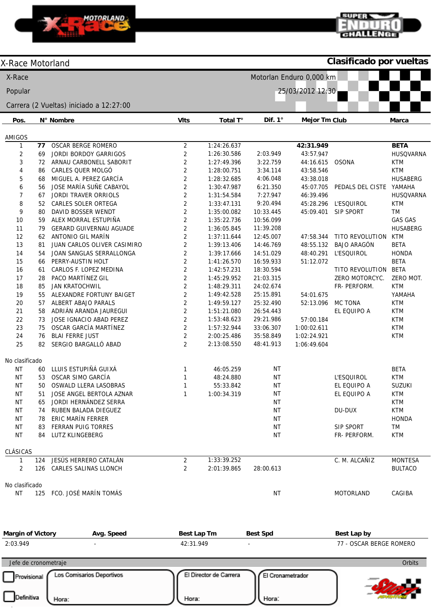

 $\sum_{i=1}^{n}$ 

### **SUPER** п GHALLEN

Licenciado a: SPORT ADVENTURE

Hora:

| X-Race<br>Motorlan Enduro 0,000 km<br>Popular<br>25/03/2012 12:30<br>Carrera (2 Vueltas) iniciado a 12:27:00<br><b>VIts</b><br>Pos.<br>N° Nombre<br>Total T°<br>Dif. $1^\circ$<br><b>Mejor Tm Club</b><br>Marca<br>AMIGOS<br><b>OSCAR BERGE ROMERO</b><br>$\overline{2}$<br>1:24:26.637<br><b>BETA</b><br>77<br>42:31.949<br>$\mathbf{1}$<br>$\overline{2}$<br>2<br>JORDI BORDOY GARRIGOS<br><b>HUSQVARNA</b><br>1:26:30.586<br>2:03.949<br>43:57.947<br>69<br>3<br>$\overline{2}$<br>ARNAU CARBONELL SABORIT<br>1:27:49.396<br>3:22.759<br>44:16.615<br><b>OSONA</b><br><b>KTM</b><br>72<br>$\overline{2}$<br>4<br>CARLES QUER MOLGÓ<br><b>KTM</b><br>1:28:00.751<br>3:34.114<br>43:58.546<br>86<br>5<br>MIGUEL A. PEREZ GARCÍA<br>2<br>1:28:32.685<br>4:06.048<br>43:38.018<br><b>HUSABERG</b><br>68<br>$\overline{c}$<br>JOSE MARÍA SUÑE CABAYOL<br>6<br>1:30:47.987<br>6:21.350<br>45:07.705<br>PEDALS DEL CISTE<br>YAMAHA<br>56<br>$\overline{2}$<br>$\overline{7}$<br><b>JORDI TRAVER ORRIOLS</b><br>1:31:54.584<br>7:27.947<br>46:39.496<br><b>HUSQVARNA</b><br>67<br>$\overline{c}$<br>8<br>CARLES SOLER ORTEGA<br><b>L'ESQUIROL</b><br>1:33:47.131<br>9:20.494<br>45:28.296<br>KTM<br>52<br>$\sqrt{2}$<br>9<br>DAVID BOSSER WENDT<br>TM<br>1:35:00.082<br>10:33.445<br>45:09.401<br><b>SIP SPORT</b><br>80<br>$\overline{2}$<br>10<br>ALEX MORRAL ESTUPIÑA<br><b>GAS GAS</b><br>1:35:22.736<br>10:56.099<br>59<br>$\sqrt{2}$<br>11<br><b>GERARD GUIVERNAU AGUADE</b><br>1:36:05.845<br>11:39.208<br><b>HUSABERG</b><br>79<br>$\overline{2}$<br>ANTONIO GIL MARÍN<br>12<br>1:37:11.644<br>12:45.007<br>47:58.344<br>TITO REVOLUTION<br><b>KTM</b><br>62<br>$\overline{2}$<br>13<br><b>BAJO ARAGÓN</b><br><b>BETA</b><br>JUAN CARLOS OLIVER CASIMIRO<br>1:39:13.406<br>14:46.769<br>48:55.132<br>81<br>$\overline{2}$<br>14<br>14:51.029<br>JOAN SANGLAS SERRALLONGA<br>1:39:17.666<br>48:40.291<br><b>L'ESQUIROL</b><br><b>HONDA</b><br>54<br>$\overline{2}$<br>15<br><b>BETA</b><br>PERRY-AUSTIN HOLT<br>1:41:26.570<br>16:59.933<br>51:12.072<br>66<br>$\sqrt{2}$<br>1:42:57.231<br>18:30.594<br><b>BETA</b><br>16<br>CARLOS F. LOPEZ MEDINA<br>TITO REVOLUTION<br>61<br>$\overline{2}$<br>17<br>PACO MARTÍNEZ GIL<br>1:45:29.952<br>21:03.315<br>ZERO MOTORCYC.<br>ZERO MOT.<br>28<br>$\overline{2}$<br>18<br>1:48:29.311<br>24:02.674<br><b>KTM</b><br><b>JAN KRATOCHWIL</b><br>FR- PERFORM.<br>85<br>$\overline{2}$<br>19<br>YAMAHA<br>55<br>ALEXANDRE FORTUNY BAIGET<br>1:49:42.528<br>25:15.891<br>54:01.675<br>$\sqrt{2}$<br>20<br><b>KTM</b><br>ALBERT ABAJO PARALS<br>1:49:59.127<br>25:32.490<br>52:13.096<br><b>MC TONA</b><br>57<br>$\overline{2}$<br>21<br>ADRIÁN ARANDA JAUREGUI<br><b>KTM</b><br>58<br>1:51:21.080<br>26:54.443<br>EL EQUIPO A<br>$\overline{2}$<br>57:00.184<br><b>KTM</b><br>22<br>JOSE IGNACIO ABAD PEREZ<br>1:53:48.623<br>29:21.986<br>73<br>$\overline{2}$<br>23<br>OSCAR GARCÍA MARTÍNEZ<br><b>KTM</b><br>75<br>1:57:32.944<br>33:06.307<br>1:00:02.611<br>$\overline{2}$<br>24<br><b>BLAI FERRE JUST</b><br>76<br>2:00:25.486<br>35:58.849<br>1:02:24.921<br><b>KTM</b><br>$\overline{2}$<br>25<br>SERGIO BARGALLÓ ABAD<br>82<br>2:13:08.550<br>48:41.913<br>1:06:49.604<br>No clasificado<br>LLUIS ESTUPIÑÁ GUIXÁ<br><b>NT</b><br><b>BETA</b><br><b>NT</b><br>46:05.259<br>60<br>1<br><b>NT</b><br>OSCAR SIMO GARCÍA<br>53<br>$\mathbf{1}$<br>48:24.880<br><b>NT</b><br><b>L'ESQUIROL</b><br><b>KTM</b><br>EL EQUIPO A<br><b>SUZUKI</b><br><b>NT</b><br>OSWALD LLERA LASOBRAS<br>1<br>55:33.842<br>ΝT<br>50<br>1:00:34.319<br><b>NT</b><br>JOSE ANGEL BERTOLA AZNAR<br><b>NT</b><br>EL EQUIPO A<br><b>KTM</b><br>1<br>51<br>JORDI HERNÁNDEZ SERRA<br><b>KTM</b><br>NT<br><b>NT</b><br>65<br><b>NT</b><br>DU-DUX<br><b>KTM</b><br>NT<br>RUBEN BALADA DIEGUEZ<br>74<br>ERIC MARÍN FERRER<br><b>HONDA</b><br><b>NT</b><br><b>NT</b><br>78<br>FERRAN PUIG TORRES<br>TM<br><b>NT</b><br>ΝT<br><b>SIP SPORT</b><br>83<br>LUTZ KLINGEBERG<br><b>KTM</b><br><b>NT</b><br><b>NT</b><br>FR- PERFORM.<br>84<br>CLÁSICAS<br>$\overline{c}$<br>1:33:39.252<br>C. M. ALCAÑIZ<br>JESÚS HERRERO CATALÁN<br><b>MONTESA</b><br>124<br>$\mathbf{1}$<br>$\overline{2}$<br><b>CARLES SALINAS LLONCH</b><br>2<br>2:01:39.865<br>28:00.613<br><b>BULTACO</b><br>126<br>No clasificado<br>FCO. JOSÉ MARÍN TOMÁS<br>CAGIBA<br>NT<br>125<br><b>NT</b><br><b>MOTORLAND</b><br><b>Margin of Victory</b><br>Avg. Speed<br><b>Best Lap Tm</b><br><b>Best Spd</b><br>Best Lap by<br>2:03.949<br>42:31.949<br>77 - OSCAR BERGE ROMERO<br>Orbits<br>Jefe de cronometraje<br>Los Comisarios Deportivos<br>El Director de Carrera<br>El Cronametrador<br>Provisional | X-Race Motorland |  |  |  | <b>Clasificado por vueltas</b> |  |
|------------------------------------------------------------------------------------------------------------------------------------------------------------------------------------------------------------------------------------------------------------------------------------------------------------------------------------------------------------------------------------------------------------------------------------------------------------------------------------------------------------------------------------------------------------------------------------------------------------------------------------------------------------------------------------------------------------------------------------------------------------------------------------------------------------------------------------------------------------------------------------------------------------------------------------------------------------------------------------------------------------------------------------------------------------------------------------------------------------------------------------------------------------------------------------------------------------------------------------------------------------------------------------------------------------------------------------------------------------------------------------------------------------------------------------------------------------------------------------------------------------------------------------------------------------------------------------------------------------------------------------------------------------------------------------------------------------------------------------------------------------------------------------------------------------------------------------------------------------------------------------------------------------------------------------------------------------------------------------------------------------------------------------------------------------------------------------------------------------------------------------------------------------------------------------------------------------------------------------------------------------------------------------------------------------------------------------------------------------------------------------------------------------------------------------------------------------------------------------------------------------------------------------------------------------------------------------------------------------------------------------------------------------------------------------------------------------------------------------------------------------------------------------------------------------------------------------------------------------------------------------------------------------------------------------------------------------------------------------------------------------------------------------------------------------------------------------------------------------------------------------------------------------------------------------------------------------------------------------------------------------------------------------------------------------------------------------------------------------------------------------------------------------------------------------------------------------------------------------------------------------------------------------------------------------------------------------------------------------------------------------------------------------------------------------------------------------------------------------------------------------------------------------------------------------------------------------------------------------------------------------------------------------------------------------------------------------------------------------------------------------------------------------------------------------------------------------------------------------------------------------------------------------------------------------------------------------------------------------------------------------------------------------------------------------------------------------------------------------------------------------------------------------------------------------------------------------------------------------------------------------------------------------------------------------------------------------------------------------------------------------------------------------------------------------|------------------|--|--|--|--------------------------------|--|
|                                                                                                                                                                                                                                                                                                                                                                                                                                                                                                                                                                                                                                                                                                                                                                                                                                                                                                                                                                                                                                                                                                                                                                                                                                                                                                                                                                                                                                                                                                                                                                                                                                                                                                                                                                                                                                                                                                                                                                                                                                                                                                                                                                                                                                                                                                                                                                                                                                                                                                                                                                                                                                                                                                                                                                                                                                                                                                                                                                                                                                                                                                                                                                                                                                                                                                                                                                                                                                                                                                                                                                                                                                                                                                                                                                                                                                                                                                                                                                                                                                                                                                                                                                                                                                                                                                                                                                                                                                                                                                                                                                                                                                                                                    |                  |  |  |  |                                |  |
|                                                                                                                                                                                                                                                                                                                                                                                                                                                                                                                                                                                                                                                                                                                                                                                                                                                                                                                                                                                                                                                                                                                                                                                                                                                                                                                                                                                                                                                                                                                                                                                                                                                                                                                                                                                                                                                                                                                                                                                                                                                                                                                                                                                                                                                                                                                                                                                                                                                                                                                                                                                                                                                                                                                                                                                                                                                                                                                                                                                                                                                                                                                                                                                                                                                                                                                                                                                                                                                                                                                                                                                                                                                                                                                                                                                                                                                                                                                                                                                                                                                                                                                                                                                                                                                                                                                                                                                                                                                                                                                                                                                                                                                                                    |                  |  |  |  |                                |  |
|                                                                                                                                                                                                                                                                                                                                                                                                                                                                                                                                                                                                                                                                                                                                                                                                                                                                                                                                                                                                                                                                                                                                                                                                                                                                                                                                                                                                                                                                                                                                                                                                                                                                                                                                                                                                                                                                                                                                                                                                                                                                                                                                                                                                                                                                                                                                                                                                                                                                                                                                                                                                                                                                                                                                                                                                                                                                                                                                                                                                                                                                                                                                                                                                                                                                                                                                                                                                                                                                                                                                                                                                                                                                                                                                                                                                                                                                                                                                                                                                                                                                                                                                                                                                                                                                                                                                                                                                                                                                                                                                                                                                                                                                                    |                  |  |  |  |                                |  |
|                                                                                                                                                                                                                                                                                                                                                                                                                                                                                                                                                                                                                                                                                                                                                                                                                                                                                                                                                                                                                                                                                                                                                                                                                                                                                                                                                                                                                                                                                                                                                                                                                                                                                                                                                                                                                                                                                                                                                                                                                                                                                                                                                                                                                                                                                                                                                                                                                                                                                                                                                                                                                                                                                                                                                                                                                                                                                                                                                                                                                                                                                                                                                                                                                                                                                                                                                                                                                                                                                                                                                                                                                                                                                                                                                                                                                                                                                                                                                                                                                                                                                                                                                                                                                                                                                                                                                                                                                                                                                                                                                                                                                                                                                    |                  |  |  |  |                                |  |
|                                                                                                                                                                                                                                                                                                                                                                                                                                                                                                                                                                                                                                                                                                                                                                                                                                                                                                                                                                                                                                                                                                                                                                                                                                                                                                                                                                                                                                                                                                                                                                                                                                                                                                                                                                                                                                                                                                                                                                                                                                                                                                                                                                                                                                                                                                                                                                                                                                                                                                                                                                                                                                                                                                                                                                                                                                                                                                                                                                                                                                                                                                                                                                                                                                                                                                                                                                                                                                                                                                                                                                                                                                                                                                                                                                                                                                                                                                                                                                                                                                                                                                                                                                                                                                                                                                                                                                                                                                                                                                                                                                                                                                                                                    |                  |  |  |  |                                |  |
|                                                                                                                                                                                                                                                                                                                                                                                                                                                                                                                                                                                                                                                                                                                                                                                                                                                                                                                                                                                                                                                                                                                                                                                                                                                                                                                                                                                                                                                                                                                                                                                                                                                                                                                                                                                                                                                                                                                                                                                                                                                                                                                                                                                                                                                                                                                                                                                                                                                                                                                                                                                                                                                                                                                                                                                                                                                                                                                                                                                                                                                                                                                                                                                                                                                                                                                                                                                                                                                                                                                                                                                                                                                                                                                                                                                                                                                                                                                                                                                                                                                                                                                                                                                                                                                                                                                                                                                                                                                                                                                                                                                                                                                                                    |                  |  |  |  |                                |  |
|                                                                                                                                                                                                                                                                                                                                                                                                                                                                                                                                                                                                                                                                                                                                                                                                                                                                                                                                                                                                                                                                                                                                                                                                                                                                                                                                                                                                                                                                                                                                                                                                                                                                                                                                                                                                                                                                                                                                                                                                                                                                                                                                                                                                                                                                                                                                                                                                                                                                                                                                                                                                                                                                                                                                                                                                                                                                                                                                                                                                                                                                                                                                                                                                                                                                                                                                                                                                                                                                                                                                                                                                                                                                                                                                                                                                                                                                                                                                                                                                                                                                                                                                                                                                                                                                                                                                                                                                                                                                                                                                                                                                                                                                                    |                  |  |  |  |                                |  |
|                                                                                                                                                                                                                                                                                                                                                                                                                                                                                                                                                                                                                                                                                                                                                                                                                                                                                                                                                                                                                                                                                                                                                                                                                                                                                                                                                                                                                                                                                                                                                                                                                                                                                                                                                                                                                                                                                                                                                                                                                                                                                                                                                                                                                                                                                                                                                                                                                                                                                                                                                                                                                                                                                                                                                                                                                                                                                                                                                                                                                                                                                                                                                                                                                                                                                                                                                                                                                                                                                                                                                                                                                                                                                                                                                                                                                                                                                                                                                                                                                                                                                                                                                                                                                                                                                                                                                                                                                                                                                                                                                                                                                                                                                    |                  |  |  |  |                                |  |
|                                                                                                                                                                                                                                                                                                                                                                                                                                                                                                                                                                                                                                                                                                                                                                                                                                                                                                                                                                                                                                                                                                                                                                                                                                                                                                                                                                                                                                                                                                                                                                                                                                                                                                                                                                                                                                                                                                                                                                                                                                                                                                                                                                                                                                                                                                                                                                                                                                                                                                                                                                                                                                                                                                                                                                                                                                                                                                                                                                                                                                                                                                                                                                                                                                                                                                                                                                                                                                                                                                                                                                                                                                                                                                                                                                                                                                                                                                                                                                                                                                                                                                                                                                                                                                                                                                                                                                                                                                                                                                                                                                                                                                                                                    |                  |  |  |  |                                |  |
|                                                                                                                                                                                                                                                                                                                                                                                                                                                                                                                                                                                                                                                                                                                                                                                                                                                                                                                                                                                                                                                                                                                                                                                                                                                                                                                                                                                                                                                                                                                                                                                                                                                                                                                                                                                                                                                                                                                                                                                                                                                                                                                                                                                                                                                                                                                                                                                                                                                                                                                                                                                                                                                                                                                                                                                                                                                                                                                                                                                                                                                                                                                                                                                                                                                                                                                                                                                                                                                                                                                                                                                                                                                                                                                                                                                                                                                                                                                                                                                                                                                                                                                                                                                                                                                                                                                                                                                                                                                                                                                                                                                                                                                                                    |                  |  |  |  |                                |  |
|                                                                                                                                                                                                                                                                                                                                                                                                                                                                                                                                                                                                                                                                                                                                                                                                                                                                                                                                                                                                                                                                                                                                                                                                                                                                                                                                                                                                                                                                                                                                                                                                                                                                                                                                                                                                                                                                                                                                                                                                                                                                                                                                                                                                                                                                                                                                                                                                                                                                                                                                                                                                                                                                                                                                                                                                                                                                                                                                                                                                                                                                                                                                                                                                                                                                                                                                                                                                                                                                                                                                                                                                                                                                                                                                                                                                                                                                                                                                                                                                                                                                                                                                                                                                                                                                                                                                                                                                                                                                                                                                                                                                                                                                                    |                  |  |  |  |                                |  |
|                                                                                                                                                                                                                                                                                                                                                                                                                                                                                                                                                                                                                                                                                                                                                                                                                                                                                                                                                                                                                                                                                                                                                                                                                                                                                                                                                                                                                                                                                                                                                                                                                                                                                                                                                                                                                                                                                                                                                                                                                                                                                                                                                                                                                                                                                                                                                                                                                                                                                                                                                                                                                                                                                                                                                                                                                                                                                                                                                                                                                                                                                                                                                                                                                                                                                                                                                                                                                                                                                                                                                                                                                                                                                                                                                                                                                                                                                                                                                                                                                                                                                                                                                                                                                                                                                                                                                                                                                                                                                                                                                                                                                                                                                    |                  |  |  |  |                                |  |
|                                                                                                                                                                                                                                                                                                                                                                                                                                                                                                                                                                                                                                                                                                                                                                                                                                                                                                                                                                                                                                                                                                                                                                                                                                                                                                                                                                                                                                                                                                                                                                                                                                                                                                                                                                                                                                                                                                                                                                                                                                                                                                                                                                                                                                                                                                                                                                                                                                                                                                                                                                                                                                                                                                                                                                                                                                                                                                                                                                                                                                                                                                                                                                                                                                                                                                                                                                                                                                                                                                                                                                                                                                                                                                                                                                                                                                                                                                                                                                                                                                                                                                                                                                                                                                                                                                                                                                                                                                                                                                                                                                                                                                                                                    |                  |  |  |  |                                |  |
|                                                                                                                                                                                                                                                                                                                                                                                                                                                                                                                                                                                                                                                                                                                                                                                                                                                                                                                                                                                                                                                                                                                                                                                                                                                                                                                                                                                                                                                                                                                                                                                                                                                                                                                                                                                                                                                                                                                                                                                                                                                                                                                                                                                                                                                                                                                                                                                                                                                                                                                                                                                                                                                                                                                                                                                                                                                                                                                                                                                                                                                                                                                                                                                                                                                                                                                                                                                                                                                                                                                                                                                                                                                                                                                                                                                                                                                                                                                                                                                                                                                                                                                                                                                                                                                                                                                                                                                                                                                                                                                                                                                                                                                                                    |                  |  |  |  |                                |  |
|                                                                                                                                                                                                                                                                                                                                                                                                                                                                                                                                                                                                                                                                                                                                                                                                                                                                                                                                                                                                                                                                                                                                                                                                                                                                                                                                                                                                                                                                                                                                                                                                                                                                                                                                                                                                                                                                                                                                                                                                                                                                                                                                                                                                                                                                                                                                                                                                                                                                                                                                                                                                                                                                                                                                                                                                                                                                                                                                                                                                                                                                                                                                                                                                                                                                                                                                                                                                                                                                                                                                                                                                                                                                                                                                                                                                                                                                                                                                                                                                                                                                                                                                                                                                                                                                                                                                                                                                                                                                                                                                                                                                                                                                                    |                  |  |  |  |                                |  |
|                                                                                                                                                                                                                                                                                                                                                                                                                                                                                                                                                                                                                                                                                                                                                                                                                                                                                                                                                                                                                                                                                                                                                                                                                                                                                                                                                                                                                                                                                                                                                                                                                                                                                                                                                                                                                                                                                                                                                                                                                                                                                                                                                                                                                                                                                                                                                                                                                                                                                                                                                                                                                                                                                                                                                                                                                                                                                                                                                                                                                                                                                                                                                                                                                                                                                                                                                                                                                                                                                                                                                                                                                                                                                                                                                                                                                                                                                                                                                                                                                                                                                                                                                                                                                                                                                                                                                                                                                                                                                                                                                                                                                                                                                    |                  |  |  |  |                                |  |
|                                                                                                                                                                                                                                                                                                                                                                                                                                                                                                                                                                                                                                                                                                                                                                                                                                                                                                                                                                                                                                                                                                                                                                                                                                                                                                                                                                                                                                                                                                                                                                                                                                                                                                                                                                                                                                                                                                                                                                                                                                                                                                                                                                                                                                                                                                                                                                                                                                                                                                                                                                                                                                                                                                                                                                                                                                                                                                                                                                                                                                                                                                                                                                                                                                                                                                                                                                                                                                                                                                                                                                                                                                                                                                                                                                                                                                                                                                                                                                                                                                                                                                                                                                                                                                                                                                                                                                                                                                                                                                                                                                                                                                                                                    |                  |  |  |  |                                |  |
|                                                                                                                                                                                                                                                                                                                                                                                                                                                                                                                                                                                                                                                                                                                                                                                                                                                                                                                                                                                                                                                                                                                                                                                                                                                                                                                                                                                                                                                                                                                                                                                                                                                                                                                                                                                                                                                                                                                                                                                                                                                                                                                                                                                                                                                                                                                                                                                                                                                                                                                                                                                                                                                                                                                                                                                                                                                                                                                                                                                                                                                                                                                                                                                                                                                                                                                                                                                                                                                                                                                                                                                                                                                                                                                                                                                                                                                                                                                                                                                                                                                                                                                                                                                                                                                                                                                                                                                                                                                                                                                                                                                                                                                                                    |                  |  |  |  |                                |  |
|                                                                                                                                                                                                                                                                                                                                                                                                                                                                                                                                                                                                                                                                                                                                                                                                                                                                                                                                                                                                                                                                                                                                                                                                                                                                                                                                                                                                                                                                                                                                                                                                                                                                                                                                                                                                                                                                                                                                                                                                                                                                                                                                                                                                                                                                                                                                                                                                                                                                                                                                                                                                                                                                                                                                                                                                                                                                                                                                                                                                                                                                                                                                                                                                                                                                                                                                                                                                                                                                                                                                                                                                                                                                                                                                                                                                                                                                                                                                                                                                                                                                                                                                                                                                                                                                                                                                                                                                                                                                                                                                                                                                                                                                                    |                  |  |  |  |                                |  |
|                                                                                                                                                                                                                                                                                                                                                                                                                                                                                                                                                                                                                                                                                                                                                                                                                                                                                                                                                                                                                                                                                                                                                                                                                                                                                                                                                                                                                                                                                                                                                                                                                                                                                                                                                                                                                                                                                                                                                                                                                                                                                                                                                                                                                                                                                                                                                                                                                                                                                                                                                                                                                                                                                                                                                                                                                                                                                                                                                                                                                                                                                                                                                                                                                                                                                                                                                                                                                                                                                                                                                                                                                                                                                                                                                                                                                                                                                                                                                                                                                                                                                                                                                                                                                                                                                                                                                                                                                                                                                                                                                                                                                                                                                    |                  |  |  |  |                                |  |
|                                                                                                                                                                                                                                                                                                                                                                                                                                                                                                                                                                                                                                                                                                                                                                                                                                                                                                                                                                                                                                                                                                                                                                                                                                                                                                                                                                                                                                                                                                                                                                                                                                                                                                                                                                                                                                                                                                                                                                                                                                                                                                                                                                                                                                                                                                                                                                                                                                                                                                                                                                                                                                                                                                                                                                                                                                                                                                                                                                                                                                                                                                                                                                                                                                                                                                                                                                                                                                                                                                                                                                                                                                                                                                                                                                                                                                                                                                                                                                                                                                                                                                                                                                                                                                                                                                                                                                                                                                                                                                                                                                                                                                                                                    |                  |  |  |  |                                |  |
|                                                                                                                                                                                                                                                                                                                                                                                                                                                                                                                                                                                                                                                                                                                                                                                                                                                                                                                                                                                                                                                                                                                                                                                                                                                                                                                                                                                                                                                                                                                                                                                                                                                                                                                                                                                                                                                                                                                                                                                                                                                                                                                                                                                                                                                                                                                                                                                                                                                                                                                                                                                                                                                                                                                                                                                                                                                                                                                                                                                                                                                                                                                                                                                                                                                                                                                                                                                                                                                                                                                                                                                                                                                                                                                                                                                                                                                                                                                                                                                                                                                                                                                                                                                                                                                                                                                                                                                                                                                                                                                                                                                                                                                                                    |                  |  |  |  |                                |  |
|                                                                                                                                                                                                                                                                                                                                                                                                                                                                                                                                                                                                                                                                                                                                                                                                                                                                                                                                                                                                                                                                                                                                                                                                                                                                                                                                                                                                                                                                                                                                                                                                                                                                                                                                                                                                                                                                                                                                                                                                                                                                                                                                                                                                                                                                                                                                                                                                                                                                                                                                                                                                                                                                                                                                                                                                                                                                                                                                                                                                                                                                                                                                                                                                                                                                                                                                                                                                                                                                                                                                                                                                                                                                                                                                                                                                                                                                                                                                                                                                                                                                                                                                                                                                                                                                                                                                                                                                                                                                                                                                                                                                                                                                                    |                  |  |  |  |                                |  |
|                                                                                                                                                                                                                                                                                                                                                                                                                                                                                                                                                                                                                                                                                                                                                                                                                                                                                                                                                                                                                                                                                                                                                                                                                                                                                                                                                                                                                                                                                                                                                                                                                                                                                                                                                                                                                                                                                                                                                                                                                                                                                                                                                                                                                                                                                                                                                                                                                                                                                                                                                                                                                                                                                                                                                                                                                                                                                                                                                                                                                                                                                                                                                                                                                                                                                                                                                                                                                                                                                                                                                                                                                                                                                                                                                                                                                                                                                                                                                                                                                                                                                                                                                                                                                                                                                                                                                                                                                                                                                                                                                                                                                                                                                    |                  |  |  |  |                                |  |
|                                                                                                                                                                                                                                                                                                                                                                                                                                                                                                                                                                                                                                                                                                                                                                                                                                                                                                                                                                                                                                                                                                                                                                                                                                                                                                                                                                                                                                                                                                                                                                                                                                                                                                                                                                                                                                                                                                                                                                                                                                                                                                                                                                                                                                                                                                                                                                                                                                                                                                                                                                                                                                                                                                                                                                                                                                                                                                                                                                                                                                                                                                                                                                                                                                                                                                                                                                                                                                                                                                                                                                                                                                                                                                                                                                                                                                                                                                                                                                                                                                                                                                                                                                                                                                                                                                                                                                                                                                                                                                                                                                                                                                                                                    |                  |  |  |  |                                |  |
|                                                                                                                                                                                                                                                                                                                                                                                                                                                                                                                                                                                                                                                                                                                                                                                                                                                                                                                                                                                                                                                                                                                                                                                                                                                                                                                                                                                                                                                                                                                                                                                                                                                                                                                                                                                                                                                                                                                                                                                                                                                                                                                                                                                                                                                                                                                                                                                                                                                                                                                                                                                                                                                                                                                                                                                                                                                                                                                                                                                                                                                                                                                                                                                                                                                                                                                                                                                                                                                                                                                                                                                                                                                                                                                                                                                                                                                                                                                                                                                                                                                                                                                                                                                                                                                                                                                                                                                                                                                                                                                                                                                                                                                                                    |                  |  |  |  |                                |  |
|                                                                                                                                                                                                                                                                                                                                                                                                                                                                                                                                                                                                                                                                                                                                                                                                                                                                                                                                                                                                                                                                                                                                                                                                                                                                                                                                                                                                                                                                                                                                                                                                                                                                                                                                                                                                                                                                                                                                                                                                                                                                                                                                                                                                                                                                                                                                                                                                                                                                                                                                                                                                                                                                                                                                                                                                                                                                                                                                                                                                                                                                                                                                                                                                                                                                                                                                                                                                                                                                                                                                                                                                                                                                                                                                                                                                                                                                                                                                                                                                                                                                                                                                                                                                                                                                                                                                                                                                                                                                                                                                                                                                                                                                                    |                  |  |  |  |                                |  |
|                                                                                                                                                                                                                                                                                                                                                                                                                                                                                                                                                                                                                                                                                                                                                                                                                                                                                                                                                                                                                                                                                                                                                                                                                                                                                                                                                                                                                                                                                                                                                                                                                                                                                                                                                                                                                                                                                                                                                                                                                                                                                                                                                                                                                                                                                                                                                                                                                                                                                                                                                                                                                                                                                                                                                                                                                                                                                                                                                                                                                                                                                                                                                                                                                                                                                                                                                                                                                                                                                                                                                                                                                                                                                                                                                                                                                                                                                                                                                                                                                                                                                                                                                                                                                                                                                                                                                                                                                                                                                                                                                                                                                                                                                    |                  |  |  |  |                                |  |
|                                                                                                                                                                                                                                                                                                                                                                                                                                                                                                                                                                                                                                                                                                                                                                                                                                                                                                                                                                                                                                                                                                                                                                                                                                                                                                                                                                                                                                                                                                                                                                                                                                                                                                                                                                                                                                                                                                                                                                                                                                                                                                                                                                                                                                                                                                                                                                                                                                                                                                                                                                                                                                                                                                                                                                                                                                                                                                                                                                                                                                                                                                                                                                                                                                                                                                                                                                                                                                                                                                                                                                                                                                                                                                                                                                                                                                                                                                                                                                                                                                                                                                                                                                                                                                                                                                                                                                                                                                                                                                                                                                                                                                                                                    |                  |  |  |  |                                |  |
|                                                                                                                                                                                                                                                                                                                                                                                                                                                                                                                                                                                                                                                                                                                                                                                                                                                                                                                                                                                                                                                                                                                                                                                                                                                                                                                                                                                                                                                                                                                                                                                                                                                                                                                                                                                                                                                                                                                                                                                                                                                                                                                                                                                                                                                                                                                                                                                                                                                                                                                                                                                                                                                                                                                                                                                                                                                                                                                                                                                                                                                                                                                                                                                                                                                                                                                                                                                                                                                                                                                                                                                                                                                                                                                                                                                                                                                                                                                                                                                                                                                                                                                                                                                                                                                                                                                                                                                                                                                                                                                                                                                                                                                                                    |                  |  |  |  |                                |  |
|                                                                                                                                                                                                                                                                                                                                                                                                                                                                                                                                                                                                                                                                                                                                                                                                                                                                                                                                                                                                                                                                                                                                                                                                                                                                                                                                                                                                                                                                                                                                                                                                                                                                                                                                                                                                                                                                                                                                                                                                                                                                                                                                                                                                                                                                                                                                                                                                                                                                                                                                                                                                                                                                                                                                                                                                                                                                                                                                                                                                                                                                                                                                                                                                                                                                                                                                                                                                                                                                                                                                                                                                                                                                                                                                                                                                                                                                                                                                                                                                                                                                                                                                                                                                                                                                                                                                                                                                                                                                                                                                                                                                                                                                                    |                  |  |  |  |                                |  |
|                                                                                                                                                                                                                                                                                                                                                                                                                                                                                                                                                                                                                                                                                                                                                                                                                                                                                                                                                                                                                                                                                                                                                                                                                                                                                                                                                                                                                                                                                                                                                                                                                                                                                                                                                                                                                                                                                                                                                                                                                                                                                                                                                                                                                                                                                                                                                                                                                                                                                                                                                                                                                                                                                                                                                                                                                                                                                                                                                                                                                                                                                                                                                                                                                                                                                                                                                                                                                                                                                                                                                                                                                                                                                                                                                                                                                                                                                                                                                                                                                                                                                                                                                                                                                                                                                                                                                                                                                                                                                                                                                                                                                                                                                    |                  |  |  |  |                                |  |
|                                                                                                                                                                                                                                                                                                                                                                                                                                                                                                                                                                                                                                                                                                                                                                                                                                                                                                                                                                                                                                                                                                                                                                                                                                                                                                                                                                                                                                                                                                                                                                                                                                                                                                                                                                                                                                                                                                                                                                                                                                                                                                                                                                                                                                                                                                                                                                                                                                                                                                                                                                                                                                                                                                                                                                                                                                                                                                                                                                                                                                                                                                                                                                                                                                                                                                                                                                                                                                                                                                                                                                                                                                                                                                                                                                                                                                                                                                                                                                                                                                                                                                                                                                                                                                                                                                                                                                                                                                                                                                                                                                                                                                                                                    |                  |  |  |  |                                |  |
|                                                                                                                                                                                                                                                                                                                                                                                                                                                                                                                                                                                                                                                                                                                                                                                                                                                                                                                                                                                                                                                                                                                                                                                                                                                                                                                                                                                                                                                                                                                                                                                                                                                                                                                                                                                                                                                                                                                                                                                                                                                                                                                                                                                                                                                                                                                                                                                                                                                                                                                                                                                                                                                                                                                                                                                                                                                                                                                                                                                                                                                                                                                                                                                                                                                                                                                                                                                                                                                                                                                                                                                                                                                                                                                                                                                                                                                                                                                                                                                                                                                                                                                                                                                                                                                                                                                                                                                                                                                                                                                                                                                                                                                                                    |                  |  |  |  |                                |  |
|                                                                                                                                                                                                                                                                                                                                                                                                                                                                                                                                                                                                                                                                                                                                                                                                                                                                                                                                                                                                                                                                                                                                                                                                                                                                                                                                                                                                                                                                                                                                                                                                                                                                                                                                                                                                                                                                                                                                                                                                                                                                                                                                                                                                                                                                                                                                                                                                                                                                                                                                                                                                                                                                                                                                                                                                                                                                                                                                                                                                                                                                                                                                                                                                                                                                                                                                                                                                                                                                                                                                                                                                                                                                                                                                                                                                                                                                                                                                                                                                                                                                                                                                                                                                                                                                                                                                                                                                                                                                                                                                                                                                                                                                                    |                  |  |  |  |                                |  |
|                                                                                                                                                                                                                                                                                                                                                                                                                                                                                                                                                                                                                                                                                                                                                                                                                                                                                                                                                                                                                                                                                                                                                                                                                                                                                                                                                                                                                                                                                                                                                                                                                                                                                                                                                                                                                                                                                                                                                                                                                                                                                                                                                                                                                                                                                                                                                                                                                                                                                                                                                                                                                                                                                                                                                                                                                                                                                                                                                                                                                                                                                                                                                                                                                                                                                                                                                                                                                                                                                                                                                                                                                                                                                                                                                                                                                                                                                                                                                                                                                                                                                                                                                                                                                                                                                                                                                                                                                                                                                                                                                                                                                                                                                    |                  |  |  |  |                                |  |
|                                                                                                                                                                                                                                                                                                                                                                                                                                                                                                                                                                                                                                                                                                                                                                                                                                                                                                                                                                                                                                                                                                                                                                                                                                                                                                                                                                                                                                                                                                                                                                                                                                                                                                                                                                                                                                                                                                                                                                                                                                                                                                                                                                                                                                                                                                                                                                                                                                                                                                                                                                                                                                                                                                                                                                                                                                                                                                                                                                                                                                                                                                                                                                                                                                                                                                                                                                                                                                                                                                                                                                                                                                                                                                                                                                                                                                                                                                                                                                                                                                                                                                                                                                                                                                                                                                                                                                                                                                                                                                                                                                                                                                                                                    |                  |  |  |  |                                |  |
|                                                                                                                                                                                                                                                                                                                                                                                                                                                                                                                                                                                                                                                                                                                                                                                                                                                                                                                                                                                                                                                                                                                                                                                                                                                                                                                                                                                                                                                                                                                                                                                                                                                                                                                                                                                                                                                                                                                                                                                                                                                                                                                                                                                                                                                                                                                                                                                                                                                                                                                                                                                                                                                                                                                                                                                                                                                                                                                                                                                                                                                                                                                                                                                                                                                                                                                                                                                                                                                                                                                                                                                                                                                                                                                                                                                                                                                                                                                                                                                                                                                                                                                                                                                                                                                                                                                                                                                                                                                                                                                                                                                                                                                                                    |                  |  |  |  |                                |  |
|                                                                                                                                                                                                                                                                                                                                                                                                                                                                                                                                                                                                                                                                                                                                                                                                                                                                                                                                                                                                                                                                                                                                                                                                                                                                                                                                                                                                                                                                                                                                                                                                                                                                                                                                                                                                                                                                                                                                                                                                                                                                                                                                                                                                                                                                                                                                                                                                                                                                                                                                                                                                                                                                                                                                                                                                                                                                                                                                                                                                                                                                                                                                                                                                                                                                                                                                                                                                                                                                                                                                                                                                                                                                                                                                                                                                                                                                                                                                                                                                                                                                                                                                                                                                                                                                                                                                                                                                                                                                                                                                                                                                                                                                                    |                  |  |  |  |                                |  |
|                                                                                                                                                                                                                                                                                                                                                                                                                                                                                                                                                                                                                                                                                                                                                                                                                                                                                                                                                                                                                                                                                                                                                                                                                                                                                                                                                                                                                                                                                                                                                                                                                                                                                                                                                                                                                                                                                                                                                                                                                                                                                                                                                                                                                                                                                                                                                                                                                                                                                                                                                                                                                                                                                                                                                                                                                                                                                                                                                                                                                                                                                                                                                                                                                                                                                                                                                                                                                                                                                                                                                                                                                                                                                                                                                                                                                                                                                                                                                                                                                                                                                                                                                                                                                                                                                                                                                                                                                                                                                                                                                                                                                                                                                    |                  |  |  |  |                                |  |
|                                                                                                                                                                                                                                                                                                                                                                                                                                                                                                                                                                                                                                                                                                                                                                                                                                                                                                                                                                                                                                                                                                                                                                                                                                                                                                                                                                                                                                                                                                                                                                                                                                                                                                                                                                                                                                                                                                                                                                                                                                                                                                                                                                                                                                                                                                                                                                                                                                                                                                                                                                                                                                                                                                                                                                                                                                                                                                                                                                                                                                                                                                                                                                                                                                                                                                                                                                                                                                                                                                                                                                                                                                                                                                                                                                                                                                                                                                                                                                                                                                                                                                                                                                                                                                                                                                                                                                                                                                                                                                                                                                                                                                                                                    |                  |  |  |  |                                |  |
|                                                                                                                                                                                                                                                                                                                                                                                                                                                                                                                                                                                                                                                                                                                                                                                                                                                                                                                                                                                                                                                                                                                                                                                                                                                                                                                                                                                                                                                                                                                                                                                                                                                                                                                                                                                                                                                                                                                                                                                                                                                                                                                                                                                                                                                                                                                                                                                                                                                                                                                                                                                                                                                                                                                                                                                                                                                                                                                                                                                                                                                                                                                                                                                                                                                                                                                                                                                                                                                                                                                                                                                                                                                                                                                                                                                                                                                                                                                                                                                                                                                                                                                                                                                                                                                                                                                                                                                                                                                                                                                                                                                                                                                                                    |                  |  |  |  |                                |  |
|                                                                                                                                                                                                                                                                                                                                                                                                                                                                                                                                                                                                                                                                                                                                                                                                                                                                                                                                                                                                                                                                                                                                                                                                                                                                                                                                                                                                                                                                                                                                                                                                                                                                                                                                                                                                                                                                                                                                                                                                                                                                                                                                                                                                                                                                                                                                                                                                                                                                                                                                                                                                                                                                                                                                                                                                                                                                                                                                                                                                                                                                                                                                                                                                                                                                                                                                                                                                                                                                                                                                                                                                                                                                                                                                                                                                                                                                                                                                                                                                                                                                                                                                                                                                                                                                                                                                                                                                                                                                                                                                                                                                                                                                                    |                  |  |  |  |                                |  |
|                                                                                                                                                                                                                                                                                                                                                                                                                                                                                                                                                                                                                                                                                                                                                                                                                                                                                                                                                                                                                                                                                                                                                                                                                                                                                                                                                                                                                                                                                                                                                                                                                                                                                                                                                                                                                                                                                                                                                                                                                                                                                                                                                                                                                                                                                                                                                                                                                                                                                                                                                                                                                                                                                                                                                                                                                                                                                                                                                                                                                                                                                                                                                                                                                                                                                                                                                                                                                                                                                                                                                                                                                                                                                                                                                                                                                                                                                                                                                                                                                                                                                                                                                                                                                                                                                                                                                                                                                                                                                                                                                                                                                                                                                    |                  |  |  |  |                                |  |
|                                                                                                                                                                                                                                                                                                                                                                                                                                                                                                                                                                                                                                                                                                                                                                                                                                                                                                                                                                                                                                                                                                                                                                                                                                                                                                                                                                                                                                                                                                                                                                                                                                                                                                                                                                                                                                                                                                                                                                                                                                                                                                                                                                                                                                                                                                                                                                                                                                                                                                                                                                                                                                                                                                                                                                                                                                                                                                                                                                                                                                                                                                                                                                                                                                                                                                                                                                                                                                                                                                                                                                                                                                                                                                                                                                                                                                                                                                                                                                                                                                                                                                                                                                                                                                                                                                                                                                                                                                                                                                                                                                                                                                                                                    |                  |  |  |  |                                |  |
|                                                                                                                                                                                                                                                                                                                                                                                                                                                                                                                                                                                                                                                                                                                                                                                                                                                                                                                                                                                                                                                                                                                                                                                                                                                                                                                                                                                                                                                                                                                                                                                                                                                                                                                                                                                                                                                                                                                                                                                                                                                                                                                                                                                                                                                                                                                                                                                                                                                                                                                                                                                                                                                                                                                                                                                                                                                                                                                                                                                                                                                                                                                                                                                                                                                                                                                                                                                                                                                                                                                                                                                                                                                                                                                                                                                                                                                                                                                                                                                                                                                                                                                                                                                                                                                                                                                                                                                                                                                                                                                                                                                                                                                                                    |                  |  |  |  |                                |  |
|                                                                                                                                                                                                                                                                                                                                                                                                                                                                                                                                                                                                                                                                                                                                                                                                                                                                                                                                                                                                                                                                                                                                                                                                                                                                                                                                                                                                                                                                                                                                                                                                                                                                                                                                                                                                                                                                                                                                                                                                                                                                                                                                                                                                                                                                                                                                                                                                                                                                                                                                                                                                                                                                                                                                                                                                                                                                                                                                                                                                                                                                                                                                                                                                                                                                                                                                                                                                                                                                                                                                                                                                                                                                                                                                                                                                                                                                                                                                                                                                                                                                                                                                                                                                                                                                                                                                                                                                                                                                                                                                                                                                                                                                                    |                  |  |  |  |                                |  |
|                                                                                                                                                                                                                                                                                                                                                                                                                                                                                                                                                                                                                                                                                                                                                                                                                                                                                                                                                                                                                                                                                                                                                                                                                                                                                                                                                                                                                                                                                                                                                                                                                                                                                                                                                                                                                                                                                                                                                                                                                                                                                                                                                                                                                                                                                                                                                                                                                                                                                                                                                                                                                                                                                                                                                                                                                                                                                                                                                                                                                                                                                                                                                                                                                                                                                                                                                                                                                                                                                                                                                                                                                                                                                                                                                                                                                                                                                                                                                                                                                                                                                                                                                                                                                                                                                                                                                                                                                                                                                                                                                                                                                                                                                    |                  |  |  |  |                                |  |

Hora: